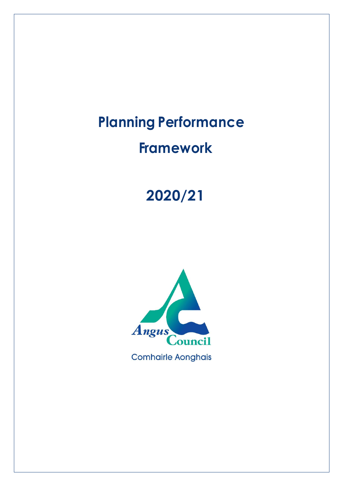# **Planning Performance**

# **Framework**

# **2020/21**

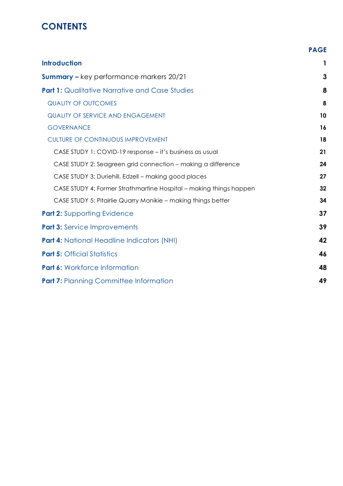## **CONTENTS**

|                                                                    | <b>PAGE</b> |
|--------------------------------------------------------------------|-------------|
| <b>Introduction</b>                                                | 1           |
| <b>Summary - key performance markers 20/21</b>                     | 3           |
| <b>Part 1:</b> Qualitative Narrative and Case Studies              | 8           |
| <b>QUALITY OF OUTCOMES</b>                                         | 8           |
| <b>QUALITY OF SERVICE AND ENGAGEMENT</b>                           | 10          |
| <b>GOVERNANCE</b>                                                  | 16          |
| <b>CULTURE OF CONTINUOUS IMPROVEMENT</b>                           | 18          |
| CASE STUDY 1: COVID-19 response – it's business as usual           | 21          |
| CASE STUDY 2: Seagreen grid connection - making a difference       | 24          |
| CASE STUDY 3: Duriehill, Edzell - making good places               | 27          |
| CASE STUDY 4: Former Strathmartine Hospital – making things happen | 32          |
| CASE STUDY 5: Pitairlie Quarry Monikie - making things better      | 34          |
| <b>Part 2: Supporting Evidence</b>                                 | 37          |
| <b>Part 3:</b> Service Improvements                                | 39          |
| <b>Part 4: National Headline Indicators (NHI)</b>                  | 42          |
| <b>Part 5: Official Statistics</b>                                 | 46          |
| <b>Part 6: Workforce Information</b>                               | 48          |
| <b>Part 7: Planning Committee Information</b>                      | 49          |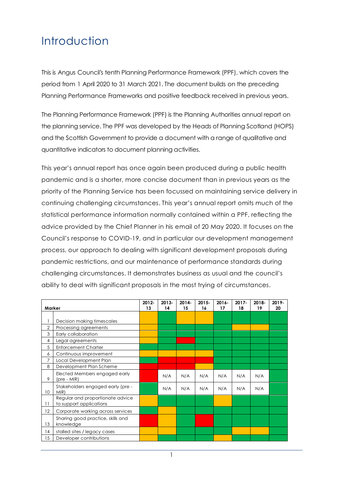## <span id="page-2-0"></span>Introduction

This is Angus Council's tenth Planning Performance Framework (PPF), which covers the period from 1 April 2020 to 31 March 2021. The document builds on the preceding Planning Performance Frameworks and positive feedback received in previous years.

The Planning Performance Framework (PPF) is the Planning Authorities annual report on the planning service. The PPF was developed by the Heads of Planning Scotland (HOPS) and the Scottish Government to provide a document with a range of qualitative and quantitative indicators to document planning activities.

This year's annual report has once again been produced during a public health pandemic and is a shorter, more concise document than in previous years as the priority of the Planning Service has been focussed on maintaining service delivery in continuing challenging circumstances. This year's annual report omits much of the statistical performance information normally contained within a PPF, reflecting the advice provided by the Chief Planner in his email of 20 May 2020. It focuses on the Council's response to COVID-19, and in particular our development management process, our approach to dealing with significant development proposals during pandemic restrictions, and our maintenance of performance standards during challenging circumstances. It demonstrates business as usual and the council's ability to deal with significant proposals in the most trying of circumstances.

| Marker          |                                                             | 2012-<br>13 | $2013 -$<br>14 | $2014 -$<br>15 | $2015 -$<br>16 | $2016 -$<br>17 | 2017-<br>18 | 2018-<br>19 | 2019-<br>20 |
|-----------------|-------------------------------------------------------------|-------------|----------------|----------------|----------------|----------------|-------------|-------------|-------------|
|                 |                                                             |             |                |                |                |                |             |             |             |
|                 | Decision making timescales                                  |             |                |                |                |                |             |             |             |
| $\overline{2}$  | Processing agreements                                       |             |                |                |                |                |             |             |             |
| 3               | Early collaboration                                         |             |                |                |                |                |             |             |             |
| 4               | Legal agreements                                            |             |                |                |                |                |             |             |             |
| 5               | <b>Enforcement Charter</b>                                  |             |                |                |                |                |             |             |             |
| 6               | Continuous improvement                                      |             |                |                |                |                |             |             |             |
| 7               | Local Development Plan                                      |             |                |                |                |                |             |             |             |
| 8               | Development Plan Scheme                                     |             |                |                |                |                |             |             |             |
| 9               | Elected Members engaged early<br>(pre - MIR)                |             | N/A            | N/A            | N/A            | N/A            | N/A         | N/A         |             |
| 10 <sup>°</sup> | Stakeholders engaged early (pre -<br>MIR)                   |             | N/A            | N/A            | N/A            | N/A            | N/A         | N/A         |             |
| 11              | Regular and proportionate advice<br>to support applications |             |                |                |                |                |             |             |             |
| 12              | Corporate working across services                           |             |                |                |                |                |             |             |             |
| 13              | Sharing good practice, skills and<br>knowledge              |             |                |                |                |                |             |             |             |
| 14              | stalled sites / legacy cases                                |             |                |                |                |                |             |             |             |
| 15              | Developer contributions                                     |             |                |                |                |                |             |             |             |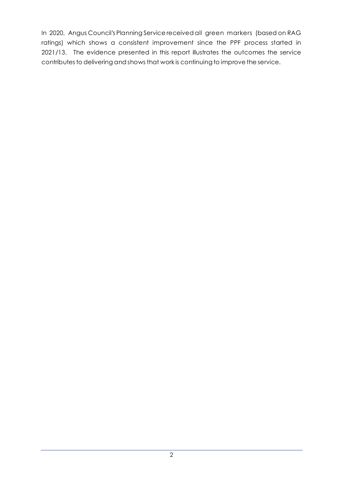In 2020, Angus Council's Planning Service received all green markers (based on RAG ratings) which shows a consistent improvement since the PPF process started in 2021/13. The evidence presented in this report illustrates the outcomes the service contributes to delivering and shows that work is continuing to improve the service.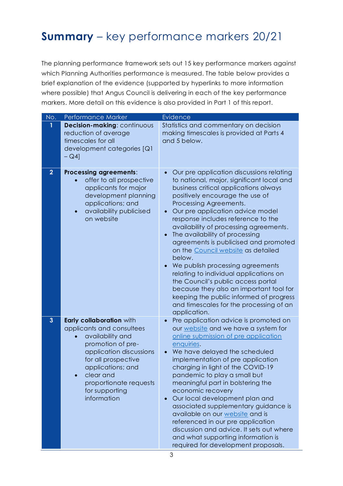## <span id="page-4-0"></span>**Summary** – key performance markers 20/21

The planning performance framework sets out 15 key performance markers against which Planning Authorities performance is measured. The table below provides a brief explanation of the evidence (supported by hyperlinks to more information where possible) that Angus Council is delivering in each of the key performance markers. More detail on this evidence is also provided in Part 1 of this report.

| No.            | Performance Marker                                                                                                                                                                                                                            | <b>Evidence</b>                                                                                                                                                                                                                                                                                                                                                                                                                                                                                                                                                                                                                                                                                                 |
|----------------|-----------------------------------------------------------------------------------------------------------------------------------------------------------------------------------------------------------------------------------------------|-----------------------------------------------------------------------------------------------------------------------------------------------------------------------------------------------------------------------------------------------------------------------------------------------------------------------------------------------------------------------------------------------------------------------------------------------------------------------------------------------------------------------------------------------------------------------------------------------------------------------------------------------------------------------------------------------------------------|
| 1              | Decision-making: continuous<br>reduction of average<br>timescales for all<br>development categories [Q1<br>$-Q4$ ]                                                                                                                            | Statistics and commentary on decision<br>making timescales is provided at Parts 4<br>and 5 below.                                                                                                                                                                                                                                                                                                                                                                                                                                                                                                                                                                                                               |
| $\overline{2}$ | <b>Processing agreements:</b><br>offer to all prospective<br>applicants for major<br>development planning<br>applications; and<br>availability publicised<br>$\bullet$<br>on website                                                          | Our pre application discussions relating<br>to national, major, significant local and<br>business critical applications always<br>positively encourage the use of<br>Processing Agreements.<br>Our pre application advice model<br>response includes reference to the<br>availability of processing agreements.<br>The availability of processing<br>agreements is publicised and promoted<br>on the Council website as detailed<br>below.<br>We publish processing agreements<br>relating to individual applications on<br>the Council's public access portal<br>because they also an important tool for<br>keeping the public informed of progress<br>and timescales for the processing of an<br>application. |
| $\mathbf{3}$   | Early collaboration with<br>applicants and consultees<br>availability and<br>promotion of pre-<br>application discussions<br>for all prospective<br>applications; and<br>clear and<br>proportionate requests<br>for supporting<br>information | Pre application advice is promoted on<br>our website and we have a system for<br>online submission of pre application<br>enquiries.<br>We have delayed the scheduled<br>implementation of pre application<br>charging in light of the COVID-19<br>pandemic to play a small but<br>meaningful part in bolstering the<br>economic recovery<br>Our local development plan and<br>associated supplementary guidance is<br>available on our website and is<br>referenced in our pre application<br>discussion and advice. It sets out where<br>and what supporting information is<br>required for development proposals.                                                                                             |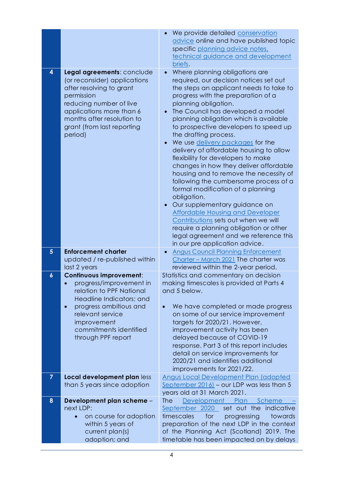|                  |                                                                                                                                                                                                                                    | We provide detailed conservation<br>advice online and have published topic<br>specific planning advice notes,<br>technical guidance and development<br>briefs.                                                                                                                                                                                                                                                                                                                                                                                                                                                                                                                                                                                                                                                                                                                                |
|------------------|------------------------------------------------------------------------------------------------------------------------------------------------------------------------------------------------------------------------------------|-----------------------------------------------------------------------------------------------------------------------------------------------------------------------------------------------------------------------------------------------------------------------------------------------------------------------------------------------------------------------------------------------------------------------------------------------------------------------------------------------------------------------------------------------------------------------------------------------------------------------------------------------------------------------------------------------------------------------------------------------------------------------------------------------------------------------------------------------------------------------------------------------|
| 4                | Legal agreements: conclude<br>(or reconsider) applications<br>after resolving to grant<br>permission<br>reducing number of live<br>applications more than 6<br>months after resolution to<br>grant (from last reporting<br>period) | Where planning obligations are<br>required, our decision notices set out<br>the steps an applicant needs to take to<br>progress with the preparation of a<br>planning obligation.<br>The Council has developed a model<br>$\bullet$<br>planning obligation which is available<br>to prospective developers to speed up<br>the drafting process.<br>We use delivery packages for the<br>delivery of affordable housing to allow<br>flexibility for developers to make<br>changes in how they deliver affordable<br>housing and to remove the necessity of<br>following the cumbersome process of a<br>formal modification of a planning<br>obligation.<br>Our supplementary guidance on<br><b>Affordable Housing and Developer</b><br>Contributions sets out when we will<br>require a planning obligation or other<br>legal agreement and we reference this<br>in our pre application advice. |
| $5\phantom{.}$   | <b>Enforcement charter</b><br>updated / re-published within<br>last 2 years                                                                                                                                                        | <b>Angus Council Planning Enforcement</b><br>Charter - March 2021 The charter was<br>reviewed within the 2-year period.                                                                                                                                                                                                                                                                                                                                                                                                                                                                                                                                                                                                                                                                                                                                                                       |
| $\boldsymbol{6}$ | <b>Continuous improvement:</b>                                                                                                                                                                                                     | Statistics and commentary on decision                                                                                                                                                                                                                                                                                                                                                                                                                                                                                                                                                                                                                                                                                                                                                                                                                                                         |
|                  | progress/improvement in<br>relation to PPF National<br>Headline Indicators; and<br>progress ambitious and<br>$\bullet$<br>relevant service<br>improvement<br>commitments identified<br>through PPF report                          | making timescales is provided at Parts 4<br>and 5 below.<br>We have completed or made progress<br>$\bullet$<br>on some of our service improvement<br>targets for 2020/21. However,<br>improvement activity has been<br>delayed because of COVID-19<br>response. Part 3 of this report includes<br>detail on service improvements for<br>2020/21 and identifies additional<br>improvements for 2021/22.                                                                                                                                                                                                                                                                                                                                                                                                                                                                                        |
| $\overline{7}$   | Local development plan less<br>than 5 years since adoption                                                                                                                                                                         | <b>Angus Local Development Plan (adopted</b><br>September $2016$ - our LDP was less than 5<br>years old at 31 March 2021.                                                                                                                                                                                                                                                                                                                                                                                                                                                                                                                                                                                                                                                                                                                                                                     |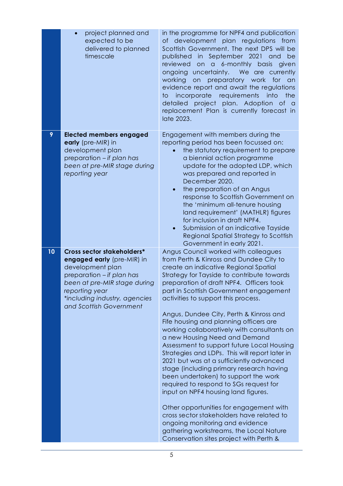|    | project planned and<br>expected to be<br>delivered to planned<br>timescale                                                                                                                                              | in the programme for NPF4 and publication<br>of development plan regulations from<br>Scottish Government. The next DPS will be<br>published in September 2021<br>and<br>be<br>reviewed<br>on a 6-monthly basis<br>given<br>ongoing uncertainty.<br>We are currently<br>working<br>preparatory work for<br>on<br>an<br>evidence report and await the regulations<br>requirements<br>incorporate<br>into<br>the<br>to<br>project plan. Adoption of a<br>detailed<br>replacement Plan is currently forecast in<br>late 2023.                                                                                                                                                                                                                                                                                                                                                                                                                                                                                 |
|----|-------------------------------------------------------------------------------------------------------------------------------------------------------------------------------------------------------------------------|-----------------------------------------------------------------------------------------------------------------------------------------------------------------------------------------------------------------------------------------------------------------------------------------------------------------------------------------------------------------------------------------------------------------------------------------------------------------------------------------------------------------------------------------------------------------------------------------------------------------------------------------------------------------------------------------------------------------------------------------------------------------------------------------------------------------------------------------------------------------------------------------------------------------------------------------------------------------------------------------------------------|
| 9  | <b>Elected members engaged</b><br>early (pre-MIR) in<br>development plan<br>preparation - if plan has<br>been at pre-MIR stage during<br>reporting year                                                                 | Engagement with members during the<br>reporting period has been focussed on:<br>the statutory requirement to prepare<br>a biennial action programme<br>update for the adopted LDP, which<br>was prepared and reported in<br>December 2020.<br>the preparation of an Angus<br>response to Scottish Government on<br>the 'minimum all-tenure housing<br>land requirement' (MATHLR) figures<br>for inclusion in draft NPF4.<br>Submission of an indicative Tayside<br>$\bullet$<br>Regional Spatial Strategy to Scottish<br>Government in early 2021.                                                                                                                                                                                                                                                                                                                                                                                                                                                        |
| 10 | Cross sector stakeholders*<br>engaged early (pre-MIR) in<br>development plan<br>preparation - if plan has<br>been at pre-MIR stage during<br>reporting year<br>*including industry, agencies<br>and Scottish Government | Angus Council worked with colleagues<br>from Perth & Kinross and Dundee City to<br>create an indicative Regional Spatial<br>Strategy for Tayside to contribute towards<br>preparation of draft NPF4. Officers took<br>part in Scottish Government engagement<br>activities to support this process.<br>Angus, Dundee City, Perth & Kinross and<br>Fife housing and planning officers are<br>working collaboratively with consultants on<br>a new Housing Need and Demand<br>Assessment to support future Local Housing<br>Strategies and LDPs. This will report later in<br>2021 but was at a sufficiently advanced<br>stage (including primary research having<br>been undertaken) to support the work<br>required to respond to SGs request for<br>input on NPF4 housing land figures.<br>Other opportunities for engagement with<br>cross sector stakeholders have related to<br>ongoing monitoring and evidence<br>gathering workstreams, the Local Nature<br>Conservation sites project with Perth & |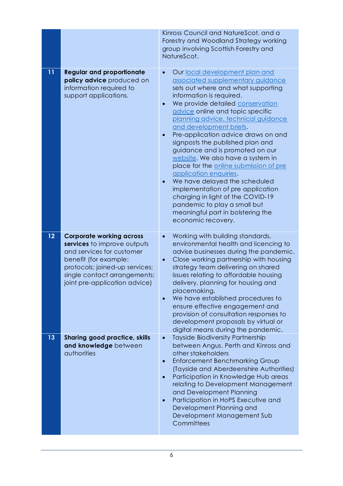|    |                                                                                                                                                                                                                         | Kinross Council and NatureScot, and a<br>Forestry and Woodland Strategy working<br>group involving Scottish Forestry and<br>NatureScot.                                                                                                                                                                                                                                                                                                                                                                                                                                                                                                                                                                                                             |
|----|-------------------------------------------------------------------------------------------------------------------------------------------------------------------------------------------------------------------------|-----------------------------------------------------------------------------------------------------------------------------------------------------------------------------------------------------------------------------------------------------------------------------------------------------------------------------------------------------------------------------------------------------------------------------------------------------------------------------------------------------------------------------------------------------------------------------------------------------------------------------------------------------------------------------------------------------------------------------------------------------|
| 11 | <b>Regular and proportionate</b><br>policy advice produced on<br>information required to<br>support applications.                                                                                                       | Our local development plan and<br>$\bullet$<br>associated supplementary guidance<br>sets out where and what supporting<br>information is required.<br>We provide detailed conservation<br>$\bullet$<br>advice online and topic specific<br>planning advice, technical guidance<br>and development briefs.<br>Pre-application advice draws on and<br>$\bullet$<br>signposts the published plan and<br>guidance and is promoted on our<br>website. We also have a system in<br>place for the online submission of pre<br>application enquiries.<br>We have delayed the scheduled<br>implementation of pre application<br>charging in light of the COVID-19<br>pandemic to play a small but<br>meaningful part in bolstering the<br>economic recovery. |
| 12 | <b>Corporate working across</b><br>services to improve outputs<br>and services for customer<br>benefit (for example:<br>protocols; joined-up services;<br>single contact arrangements;<br>joint pre-application advice) | Working with building standards,<br>environmental health and licencing to<br>advise businesses during the pandemic.<br>Close working partnership with housing<br>strategy team delivering on shared<br>issues relating to affordable housing<br>delivery, planning for housing and<br>placemaking.<br>We have established procedures to<br>ensure effective engagement and<br>provision of consultation responses to<br>development proposals by virtual or<br>digital means during the pandemic.                                                                                                                                                                                                                                                   |
| 13 | <b>Sharing good practice, skills</b><br>and knowledge between<br>authorities                                                                                                                                            | <b>Tayside Biodiversity Partnership</b><br>$\bullet$<br>between Angus, Perth and Kinross and<br>other stakeholders<br><b>Enforcement Benchmarking Group</b><br>(Tayside and Aberdeenshire Authorities)<br>Participation in Knowledge Hub areas<br>$\bullet$<br>relating to Development Management<br>and Development Planning<br>Participation in HoPS Executive and<br>Development Planning and<br>Development Management Sub<br>Committees                                                                                                                                                                                                                                                                                                        |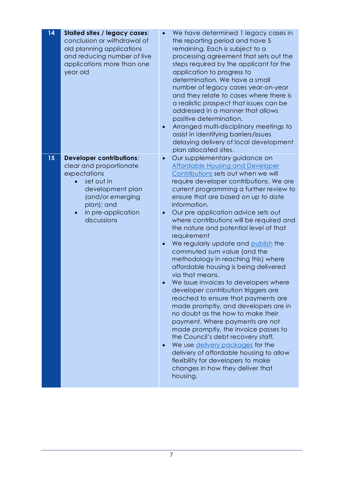| 14 | <b>Stalled sites / legacy cases:</b><br>conclusion or withdrawal of<br>old planning applications<br>and reducing number of live<br>applications more than one<br>year old           | We have determined 1 legacy cases in<br>the reporting period and have 5<br>remaining. Each is subject to a<br>processing agreement that sets out the<br>steps required by the applicant for the<br>application to progress to<br>determination. We have a small<br>number of legacy cases year-on-year<br>and they relate to cases where there is<br>a realistic prospect that issues can be<br>addressed in a manner that allows<br>positive determination.<br>Arranged multi-disciplinary meetings to<br>$\bullet$<br>assist in identifying barriers/issues<br>delaying delivery of local development<br>plan allocated sites.                                                                                                                                                                                                                                                                                                                                                                                                                                                         |
|----|-------------------------------------------------------------------------------------------------------------------------------------------------------------------------------------|------------------------------------------------------------------------------------------------------------------------------------------------------------------------------------------------------------------------------------------------------------------------------------------------------------------------------------------------------------------------------------------------------------------------------------------------------------------------------------------------------------------------------------------------------------------------------------------------------------------------------------------------------------------------------------------------------------------------------------------------------------------------------------------------------------------------------------------------------------------------------------------------------------------------------------------------------------------------------------------------------------------------------------------------------------------------------------------|
| 15 | <b>Developer contributions:</b><br>clear and proportionate<br>expectations<br>set out in<br>development plan<br>(and/or emerging<br>plan); and<br>in pre-application<br>discussions | Our supplementary guidance on<br>$\bullet$<br><b>Affordable Housing and Developer</b><br>Contributions sets out when we will<br>require developer contributions. We are<br>current programming a further review to<br>ensure that are based on up to date<br>information.<br>Our pre application advice sets out<br>where contributions will be required and<br>the nature and potential level of that<br>requirement<br>We regularly update and publish the<br>commuted sum value (and the<br>methodology in reaching this) where<br>affordable housing is being delivered<br>via that means.<br>We issue invoices to developers where<br>developer contribution triggers are<br>reached to ensure that payments are<br>made promptly, and developers are in<br>no doubt as the how to make their<br>payment. Where payments are not<br>made promptly, the invoice passes to<br>the Council's debt recovery staff.<br>We use delivery packages for the<br>delivery of affordable housing to allow<br>flexibility for developers to make<br>changes in how they deliver that<br>housing. |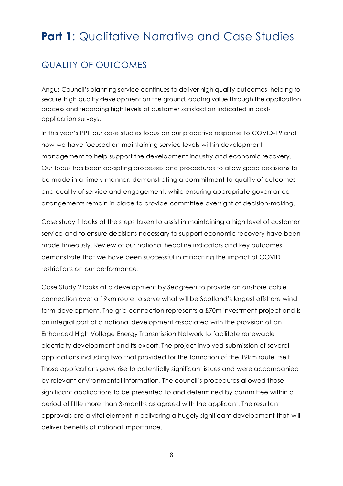## <span id="page-9-0"></span>**Part 1:** Qualitative Narrative and Case Studies

## <span id="page-9-1"></span>QUALITY OF OUTCOMES

Angus Council's planning service continues to deliver high quality outcomes, helping to secure high quality development on the ground, adding value through the application process and recording high levels of customer satisfaction indicated in postapplication surveys.

In this year's PPF our case studies focus on our proactive response to COVID-19 and how we have focused on maintaining service levels within development management to help support the development industry and economic recovery. Our focus has been adapting processes and procedures to allow good decisions to be made in a timely manner, demonstrating a commitment to quality of outcomes and quality of service and engagement, while ensuring appropriate governance arrangements remain in place to provide committee oversight of decision-making.

Case study 1 looks at the steps taken to assist in maintaining a high level of customer service and to ensure decisions necessary to support economic recovery have been made timeously. Review of our national headline indicators and key outcomes demonstrate that we have been successful in mitigating the impact of COVID restrictions on our performance.

Case Study 2 looks at a development by Seagreen to provide an onshore cable connection over a 19km route to serve what will be Scotland's largest offshore wind farm development. The grid connection represents a £70m investment project and is an integral part of a national development associated with the provision of an Enhanced High Voltage Energy Transmission Network to facilitate renewable electricity development and its export. The project involved submission of several applications including two that provided for the formation of the 19km route itself. Those applications gave rise to potentially significant issues and were accompanied by relevant environmental information. The council's procedures allowed those significant applications to be presented to and determined by committee within a period of little more than 3-months as agreed with the applicant. The resultant approvals are a vital element in delivering a hugely significant development that will deliver benefits of national importance.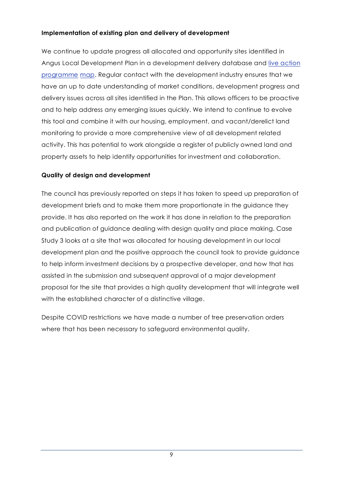#### **Implementation of existing plan and delivery of development**

We continue to update progress all allocated and opportunity sites identified in Angus Local Development Plan in a development delivery database and [live action](https://angus.locationcentre.co.uk/internet/internet.aspx?articleid=uvI8jTl4Vkw~&preview=true)  [programme](https://angus.locationcentre.co.uk/internet/internet.aspx?articleid=uvI8jTl4Vkw~&preview=true) map. Regular contact with the development industry ensures that we have an up to date understanding of market conditions, development progress and delivery issues across all sites identified in the Plan. This allows officers to be proactive and to help address any emerging issues quickly. We intend to continue to evolve this tool and combine it with our housing, employment, and vacant/derelict land monitoring to provide a more comprehensive view of all development related activity. This has potential to work alongside a register of publicly owned land and property assets to help identify opportunities for investment and collaboration.

#### **Quality of design and development**

The council has previously reported on steps it has taken to speed up preparation of development briefs and to make them more proportionate in the guidance they provide. It has also reported on the work it has done in relation to the preparation and publication of guidance dealing with design quality and place making. Case Study 3 looks at a site that was allocated for housing development in our local development plan and the positive approach the council took to provide guidance to help inform investment decisions by a prospective developer, and how that has assisted in the submission and subsequent approval of a major development proposal for the site that provides a high quality development that will integrate well with the established character of a distinctive village.

Despite COVID restrictions we have made a number of tree preservation orders where that has been necessary to safeguard environmental quality.

9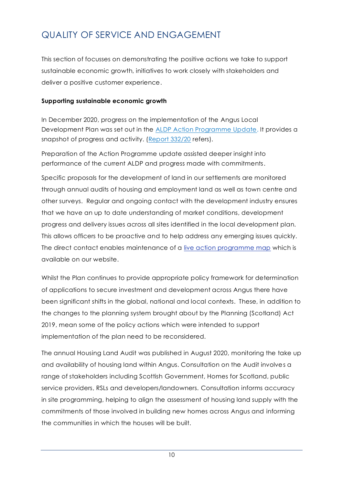## <span id="page-11-0"></span>QUALITY OF SERVICE AND ENGAGEMENT

This section of focusses on demonstrating the positive actions we take to support sustainable economic growth, initiatives to work closely with stakeholders and deliver a positive customer experience.

#### **Supporting sustainable economic growth**

In December 2020, progress on the implementation of the Angus Local Development Plan was set out in the [ALDP Action Programme Update.](https://www.angus.gov.uk/media/agenda_item_no_13_report_no_33220_angus_local_development_plan_action_programme_2020_update_appendix) It provides a snapshot of progress and activity. [\(Report 332/20](https://www.angus.gov.uk/media/agenda_item_no_13_report_no_33220_angus_local_development_plan_action_programme_2020_update_appendix) refers).

Preparation of the Action Programme update assisted deeper insight into performance of the current ALDP and progress made with commitments.

Specific proposals for the development of land in our settlements are monitored through annual audits of housing and employment land as well as town centre and other surveys. Regular and ongoing contact with the development industry ensures that we have an up to date understanding of market conditions, development progress and delivery issues across all sites identified in the local development plan. This allows officers to be proactive and to help address any emerging issues quickly. The direct contact enables maintenance of a [live action programme map](https://angus.locationcentre.co.uk/internet/internet.aspx?articleid=uvI8jTl4Vkw~&preview=true) which is available on our website.

Whilst the Plan continues to provide appropriate policy framework for determination of applications to secure investment and development across Angus there have been significant shifts in the global, national and local contexts. These, in addition to the changes to the planning system brought about by the Planning (Scotland) Act 2019, mean some of the policy actions which were intended to support implementation of the plan need to be reconsidered.

The annual [Housing Land Audit](https://www.angus.gov.uk/planning_and_building/angus_housing_land_audit) was published in August 2020, monitoring the take up and availability of housing land within Angus. Consultation on the Audit involves a range of stakeholders including Scottish Government, Homes for Scotland, public service providers, RSLs and developers/landowners. Consultation informs accuracy in site programming, helping to align the assessment of housing land supply with the commitments of those involved in building new homes across Angus and informing the communities in which the houses will be built.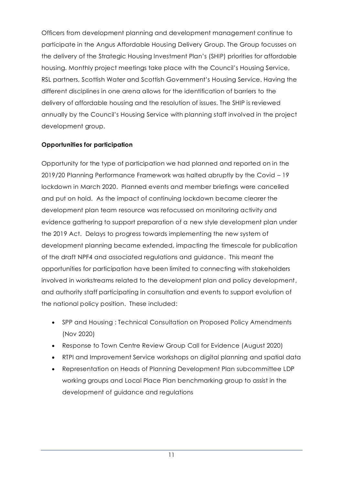Officers from development planning and development management continue to participate in the Angus Affordable Housing Delivery Group. The Group focusses on the delivery of the Strategic Housing Investment Plan's (SHIP) priorities for affordable housing. Monthly project meetings take place with the Council's Housing Service, RSL partners, Scottish Water and Scottish Government's Housing Service. Having the different disciplines in one arena allows for the identification of barriers to the delivery of affordable housing and the resolution of issues. The SHIP is reviewed annually by the Council's Housing Service with planning staff involved in the project development group.

#### **Opportunities for participation**

Opportunity for the type of participation we had planned and reported on in the 2019/20 Planning Performance Framework was halted abruptly by the Covid – 19 lockdown in March 2020. Planned events and member briefings were cancelled and put on hold. As the impact of continuing lockdown became clearer the development plan team resource was refocussed on monitoring activity and evidence gathering to support preparation of a new style development plan under the 2019 Act. Delays to progress towards implementing the new system of development planning became extended, impacting the timescale for publication of the draft NPF4 and associated regulations and guidance. This meant the opportunities for participation have been limited to connecting with stakeholders involved in workstreams related to the development plan and policy development, and authority staff participating in consultation and events to support evolution of the national policy position. These included:

- SPP and Housing : Technical Consultation on Proposed Policy Amendments (Nov 2020)
- Response to Town Centre Review Group Call for Evidence (August 2020)
- RTPI and Improvement Service workshops on digital planning and spatial data
- Representation on Heads of Planning Development Plan subcommittee LDP working groups and Local Place Plan benchmarking group to assist in the development of guidance and regulations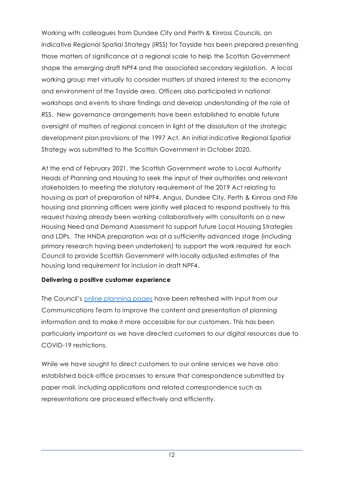Working with colleagues from Dundee City and Perth & Kinross Councils, an indicative Regional Spatial Strategy (iRSS) for Tayside has been prepared presenting those matters of significance at a regional scale to help the Scottish Government shape the emerging draft NPF4 and the associated secondary legislation. A local working group met virtually to consider matters of shared interest to the economy and environment of the Tayside area. Officers also participated in national workshops and events to share findings and develop understanding of the role of RSS. New governance arrangements have been established to enable future oversight of matters of regional concern in light of the dissolution of the strategic development plan provisions of the 1997 Act. An initial indicative Regional Spatial Strategy was submitted to the Scottish Government in October 2020.

At the end of February 2021, the Scottish Government wrote to Local Authority Heads of Planning and Housing to seek the input of their authorities and relevant stakeholders to meeting the statutory requirement of the 2019 Act relating to housing as part of preparation of NPF4. Angus, Dundee City, Perth & Kinross and Fife housing and planning officers were jointly well placed to respond positively to this request having already been working collaboratively with consultants on a new Housing Need and Demand Assessment to support future Local Housing Strategies and LDPs. The HNDA preparation was at a sufficiently advanced stage (including primary research having been undertaken) to support the work required for each Council to provide Scottish Government with locally adjusted estimates of the housing land requirement for inclusion in draft NPF4.

#### **Delivering a positive customer experience**

The Council's [online planning pages](https://www.angus.gov.uk/planning_and_building) have been refreshed with input from our Communications Team to improve the content and presentation of planning information and to make it more accessible for our customers. This has been particularly important as we have directed customers to our digital resources due to COVID-19 restrictions.

While we have sought to direct customers to our online services we have also established back-office processes to ensure that correspondence submitted by paper mail, including applications and related correspondence such as representations are processed effectively and efficiently.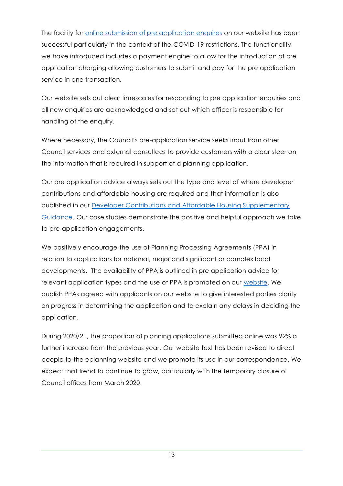The facility for [online submission of pre application enquires](https://www.angus.gov.uk/planning_and_building/planning_permission_and_applications/pre_application_advice_and_surgeries) on our website has been successful particularly in the context of the COVID-19 restrictions. The functionality we have introduced includes a payment engine to allow for the introduction of pre application charging allowing customers to submit and pay for the pre application service in one transaction.

Our website sets out clear timescales for responding to pre application enquiries and all new enquiries are acknowledged and set out which officer is responsible for handling of the enquiry.

Where necessary, the Council's pre-application service seeks input from other Council services and external consultees to provide customers with a clear steer on the information that is required in support of a planning application.

Our pre application advice always sets out the type and level of where developer contributions and affordable housing are required and that information is also published in our Developer Contributions and [Affordable Housing Supplementary](https://www.angus.gov.uk/media/developer_contributions_and_affordable_housing_supplementary_guidance)  [Guidance.](https://www.angus.gov.uk/media/developer_contributions_and_affordable_housing_supplementary_guidance) Our case studies demonstrate the positive and helpful approach we take to pre-application engagements.

We positively encourage the use of Planning Processing Agreements (PPA) in relation to applications for national, major and significant or complex local developments. The availability of PPA is outlined in pre application advice for relevant application types and the use of PPA is promoted on our [website.](https://www.angus.gov.uk/planning_and_building/planning_permission_and_applications/submit_a_planning_application) We publish PPAs agreed with applicants on our website to give interested parties clarity on progress in determining the application and to explain any delays in deciding the application.

During 2020/21, the proportion of planning applications submitted online was 92% a further increase from the previous year. Our website text has been revised to direct people to the eplanning website and we promote its use in our correspondence. We expect that trend to continue to grow, particularly with the temporary closure of Council offices from March 2020.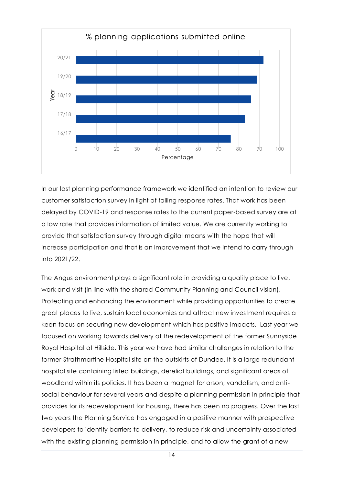

In our last planning performance framework we identified an intention to review our customer satisfaction survey in light of falling response rates. That work has been delayed by COVID-19 and response rates to the current paper-based survey are at a low rate that provides information of limited value. We are currently working to provide that satisfaction survey through digital means with the hope that will increase participation and that is an improvement that we intend to carry through into 2021/22.

The Angus environment plays a significant role in providing a quality place to live, work and visit (in line with the shared Community Planning and Council vision). Protecting and enhancing the environment while providing opportunities to create great places to live, sustain local economies and attract new investment requires a keen focus on securing new development which has positive impacts. Last year we focused on working towards delivery of the redevelopment of the former Sunnyside Royal Hospital at Hillside. This year we have had similar challenges in relation to the former Strathmartine Hospital site on the outskirts of Dundee. It is a large redundant hospital site containing listed buildings, derelict buildings, and significant areas of woodland within its policies. It has been a magnet for arson, vandalism, and antisocial behaviour for several years and despite a planning permission in principle that provides for its redevelopment for housing, there has been no progress. Over the last two years the Planning Service has engaged in a positive manner with prospective developers to identify barriers to delivery, to reduce risk and uncertainty associated with the existing planning permission in principle, and to allow the grant of a new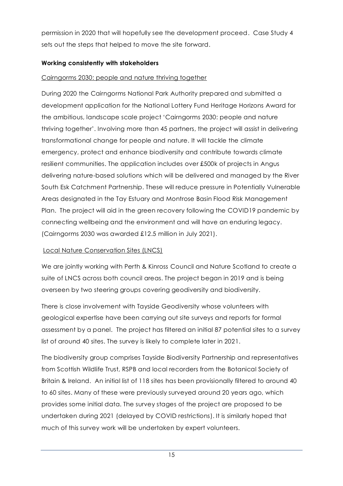permission in 2020 that will hopefully see the development proceed. Case Study 4 sets out the steps that helped to move the site forward.

#### **Working consistently with stakeholders**

#### Cairngorms 2030: people and nature thriving together

During 2020 the Cairngorms National Park Authority prepared and submitted a development application for the National Lottery Fund Heritage Horizons Award for the ambitious, landscape scale project 'Cairngorms 2030: people and nature thriving together'. Involving more than 45 partners, the project will assist in delivering transformational change for people and nature. It will tackle the climate emergency, protect and enhance biodiversity and contribute towards climate resilient communities. The application includes over £500k of projects in Angus delivering nature-based solutions which will be delivered and managed by the River South Esk Catchment Partnership. These will reduce pressure in Potentially Vulnerable Areas designated in the Tay Estuary and Montrose Basin Flood Risk Management Plan. The project will aid in the green recovery following the COVID19 pandemic by connecting wellbeing and the environment and will have an enduring legacy. (Cairngorms 2030 was awarded £12.5 million in July 2021).

#### Local Nature Conservation Sites (LNCS)

We are jointly working with Perth & Kinross Council and Nature Scotland to create a suite of LNCS across both council areas. The project began in 2019 and is being overseen by two steering groups covering geodiversity and biodiversity.

There is close involvement with Tayside Geodiversity whose volunteers with geological expertise have been carrying out site surveys and reports for formal assessment by a panel. The project has filtered an initial 87 potential sites to a survey list of around 40 sites. The survey is likely to complete later in 2021.

The biodiversity group comprises Tayside Biodiversity Partnership and representatives from Scottish Wildlife Trust, RSPB and local recorders from the Botanical Society of Britain & Ireland. An initial list of 118 sites has been provisionally filtered to around 40 to 60 sites. Many of these were previously surveyed around 20 years ago, which provides some initial data. The survey stages of the project are proposed to be undertaken during 2021 (delayed by COVID restrictions). It is similarly hoped that much of this survey work will be undertaken by expert volunteers.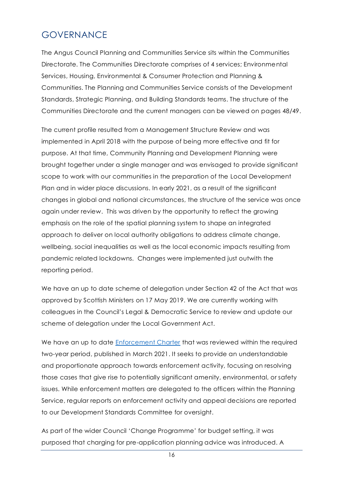### <span id="page-17-0"></span>GOVERNANCE

The Angus Council Planning and Communities Service sits within the Communities Directorate. The Communities Directorate comprises of 4 services; Environmental Services, Housing, Environmental & Consumer Protection and Planning & Communities. The Planning and Communities Service consists of the Development Standards, Strategic Planning, and Building Standards teams. The structure of the Communities Directorate and the current managers can be viewed on pages 48/49.

The current profile resulted from a Management Structure Review and was implemented in April 2018 with the purpose of being more effective and fit for purpose. At that time, Community Planning and Development Planning were brought together under a single manager and was envisaged to provide significant scope to work with our communities in the preparation of the Local Development Plan and in wider place discussions. In early 2021, as a result of the significant changes in global and national circumstances, the structure of the service was once again under review. This was driven by the opportunity to reflect the growing emphasis on the role of the spatial planning system to shape an integrated approach to deliver on local authority obligations to address climate change, wellbeing, social inequalities as well as the local economic impacts resulting from pandemic related lockdowns. Changes were implemented just outwith the reporting period.

We have an up to date scheme of delegation under Section 42 of the Act that was approved by Scottish Ministers on 17 May 2019. We are currently working with colleagues in the Council's Legal & Democratic Service to review and update our scheme of delegation under the Local Government Act.

We have an up to date [Enforcement Charter](https://www.angus.gov.uk/sites/default/files/2021-04/Enforcement%20Charter%202021.pdf) that was reviewed within the required two-year period, published in March 2021. It seeks to provide an understandable and proportionate approach towards enforcement activity, focusing on resolving those cases that give rise to potentially significant amenity, environmental, or safety issues. While enforcement matters are delegated to the officers within the Planning Service, regular reports on enforcement activity and appeal decisions are reported to our Development Standards Committee for oversight.

As part of the wider Council 'Change Programme' for budget setting, it was purposed that charging for pre-application planning advice was introduced. A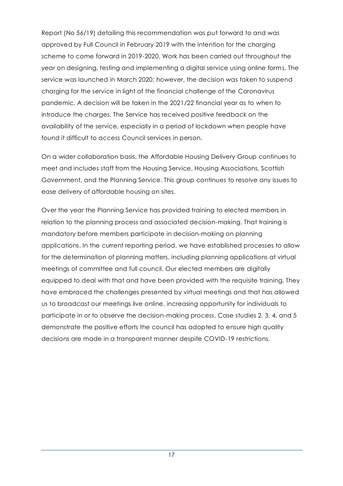Report (No 56/19) detailing this recommendation was put forward to and was approved by Full Council in February 2019 with the intention for the charging scheme to come forward in 2019-2020. Work has been carried out throughout the year on designing, testing and implementing a digital service using online forms. The service was launched in March 2020; however, the decision was taken to suspend charging for the service in light of the financial challenge of the Coronavirus pandemic. A decision will be taken in the 2021/22 financial year as to when to introduce the charges. The Service has received positive feedback on the availability of the service, especially in a period of lockdown when people have found it difficult to access Council services in person.

On a wider collaboration basis, the Affordable Housing Delivery Group continues to meet and includes staff from the Housing Service, Housing Associations, Scottish Government, and the Planning Service. This group continues to resolve any issues to ease delivery of affordable housing on sites.

Over the year the Planning Service has provided training to elected members in relation to the planning process and associated decision-making. That training is mandatory before members participate in decision-making on planning applications. In the current reporting period, we have established processes to allow for the determination of planning matters, including planning applications at virtual meetings of committee and full council. Our elected members are digitally equipped to deal with that and have been provided with the requisite training. They have embraced the challenges presented by virtual meetings and that has allowed us to broadcast our meetings live online, increasing opportunity for individuals to participate in or to observe the decision-making process. Case studies 2, 3, 4, and 5 demonstrate the positive efforts the council has adopted to ensure high quality decisions are made in a transparent manner despite COVID-19 restrictions.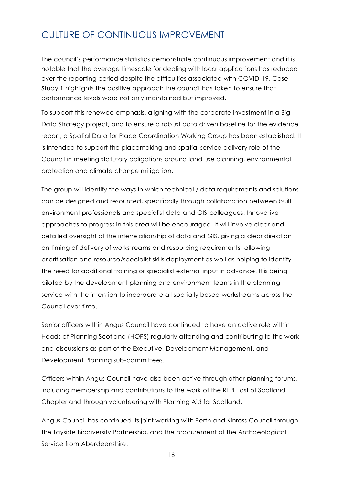## <span id="page-19-0"></span>CULTURE OF CONTINUOUS IMPROVEMENT

The council's performance statistics demonstrate continuous improvement and it is notable that the average timescale for dealing with local applications has reduced over the reporting period despite the difficulties associated with COVID-19. Case Study 1 highlights the positive approach the council has taken to ensure that performance levels were not only maintained but improved.

To support this renewed emphasis, aligning with the corporate investment in a Big Data Strategy project, and to ensure a robust data driven baseline for the evidence report, a Spatial Data for Place Coordination Working Group has been established. It is intended to support the placemaking and spatial service delivery role of the Council in meeting statutory obligations around land use planning, environmental protection and climate change mitigation.

The group will identify the ways in which technical / data requirements and solutions can be designed and resourced, specifically through collaboration between built environment professionals and specialist data and GIS colleagues. Innovative approaches to progress in this area will be encouraged. It will involve clear and detailed oversight of the interrelationship of data and GIS, giving a clear direction on timing of delivery of workstreams and resourcing requirements, allowing prioritisation and resource/specialist skills deployment as well as helping to identify the need for additional training or specialist external input in advance. It is being piloted by the development planning and environment teams in the planning service with the intention to incorporate all spatially based workstreams across the Council over time.

Senior officers within Angus Council have continued to have an active role within Heads of Planning Scotland (HOPS) regularly attending and contributing to the work and discussions as part of the Executive, Development Management, and Development Planning sub-committees.

Officers within Angus Council have also been active through other planning forums, including membership and contributions to the work of the RTPI East of Scotland Chapter and through volunteering with Planning Aid for Scotland.

Angus Council has continued its joint working with Perth and Kinross Council through the Tayside Biodiversity Partnership, and the procurement of the Archaeological Service from Aberdeenshire.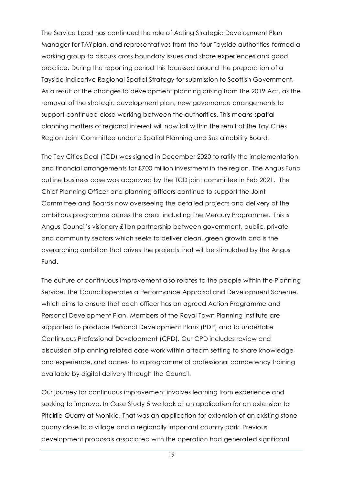The Service Lead has continued the role of Acting Strategic Development Plan Manager for TAYplan, and representatives from the four Tayside authorities formed a working group to discuss cross boundary issues and share experiences and good practice. During the reporting period this focussed around the preparation of a Tayside indicative Regional Spatial Strategy for submission to Scottish Government. As a result of the changes to development planning arising from the 2019 Act, as the removal of the strategic development plan, new governance arrangements to support continued close working between the authorities. This means spatial planning matters of regional interest will now fall within the remit of the Tay Cities Region Joint Committee under a Spatial Planning and Sustainability Board.

The Tay Cities Deal (TCD) was signed in December 2020 to ratify the implementation and financial arrangements for £700 million investment in the region. The Angus Fund outline business case was approved by the TCD joint committee in Feb 2021. The Chief Planning Officer and planning officers continue to support the Joint Committee and Boards now overseeing the detailed projects and delivery of the ambitious programme across the area, including The Mercury Programme. This is Angus Council's visionary £1bn partnership between government, public, private and community sectors which seeks to deliver clean, green growth and is the overarching ambition that drives the projects that will be stimulated by the Angus Fund.

The culture of continuous improvement also relates to the people within the Planning Service. The Council operates a Performance Appraisal and Development Scheme, which aims to ensure that each officer has an agreed Action Programme and Personal Development Plan. Members of the Royal Town Planning Institute are supported to produce Personal Development Plans (PDP) and to undertake Continuous Professional Development (CPD). Our CPD includes review and discussion of planning related case work within a team setting to share knowledge and experience, and access to a programme of professional competency training available by digital delivery through the Council.

Our journey for continuous improvement involves learning from experience and seeking to improve. In Case Study 5 we look at an application for an extension to Pitairlie Quarry at Monikie. That was an application for extension of an existing stone quarry close to a village and a regionally important country park. Previous development proposals associated with the operation had generated significant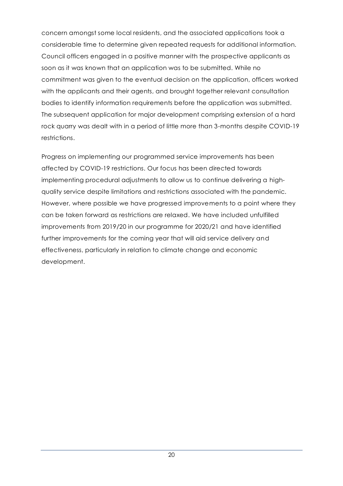concern amongst some local residents, and the associated applications took a considerable time to determine given repeated requests for additional information. Council officers engaged in a positive manner with the prospective applicants as soon as it was known that an application was to be submitted. While no commitment was given to the eventual decision on the application, officers worked with the applicants and their agents, and brought together relevant consultation bodies to identify information requirements before the application was submitted. The subsequent application for major development comprising extension of a hard rock quarry was dealt with in a period of little more than 3-months despite COVID-19 restrictions.

Progress on implementing our programmed service improvements has been affected by COVID-19 restrictions. Our focus has been directed towards implementing procedural adjustments to allow us to continue delivering a highquality service despite limitations and restrictions associated with the pandemic. However, where possible we have progressed improvements to a point where they can be taken forward as restrictions are relaxed. We have included unfulfilled improvements from 2019/20 in our programme for 2020/21 and have identified further improvements for the coming year that will aid service delivery and effectiveness, particularly in relation to climate change and economic development.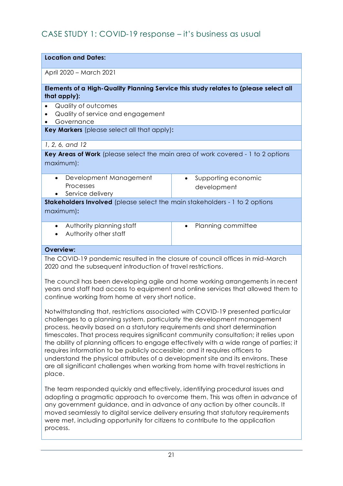### <span id="page-22-0"></span>CASE STUDY 1: COVID-19 response – it's business as usual

| <b>Location and Dates:</b>                                                                           |                                                 |  |
|------------------------------------------------------------------------------------------------------|-------------------------------------------------|--|
| April 2020 - March 2021                                                                              |                                                 |  |
| Elements of a High-Quality Planning Service this study relates to (please select all<br>that apply): |                                                 |  |
| Quality of outcomes<br>$\bullet$<br>Quality of service and engagement<br>Governance                  |                                                 |  |
| Key Markers (please select all that apply):                                                          |                                                 |  |
| 1, 2, 6, and 12                                                                                      |                                                 |  |
| Key Areas of Work (please select the main area of work covered - 1 to 2 options<br>maximum):         |                                                 |  |
| Development Management<br>$\bullet$<br>Processes<br>Service delivery                                 | Supporting economic<br>$\bullet$<br>development |  |
| Stakeholders Involved (please select the main stakeholders - 1 to 2 options                          |                                                 |  |
| maximum):                                                                                            |                                                 |  |
| Authority planning staff<br>$\bullet$<br>Authority other staff                                       | Planning committee<br>٠                         |  |
| <b>Overview:</b>                                                                                     |                                                 |  |
|                                                                                                      |                                                 |  |

The COVID-19 pandemic resulted in the closure of council offices in mid-March 2020 and the subsequent introduction of travel restrictions.

The council has been developing agile and home working arrangements in recent years and staff had access to equipment and online services that allowed them to continue working from home at very short notice.

Notwithstanding that, restrictions associated with COVID-19 presented particular challenges to a planning system, particularly the development management process, heavily based on a statutory requirements and short determination timescales. That process requires significant community consultation; it relies upon the ability of planning officers to engage effectively with a wide range of parties; it requires information to be publicly accessible; and it requires officers to understand the physical attributes of a development site and its environs. These are all significant challenges when working from home with travel restrictions in place.

The team responded quickly and effectively, identifying procedural issues and adopting a pragmatic approach to overcome them. This was often in advance of any government guidance, and in advance of any action by other councils. It moved seamlessly to digital service delivery ensuring that statutory requirements were met, including opportunity for citizens to contribute to the application process.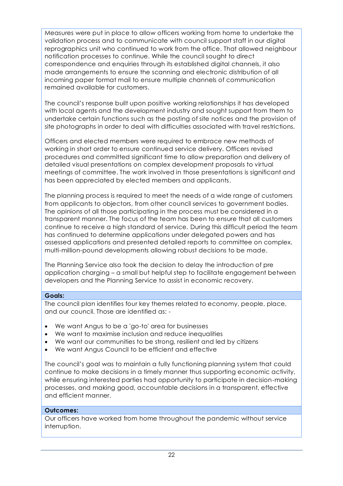Measures were put in place to allow officers working from home to undertake the validation process and to communicate with council support staff in our digital reprographics unit who continued to work from the office. That allowed neighbour notification processes to continue. While the council sought to direct correspondence and enquiries through its established digital channels, it also made arrangements to ensure the scanning and electronic distribution of all incoming paper format mail to ensure multiple channels of communication remained available for customers.

The council's response built upon positive working relationships it has developed with local agents and the development industry and sought support from them to undertake certain functions such as the posting of site notices and the provision of site photographs in order to deal with difficulties associated with travel restrictions.

Officers and elected members were required to embrace new methods of working in short order to ensure continued service delivery. Officers revised procedures and committed significant time to allow preparation and delivery of detailed visual presentations on complex development proposals to virtual meetings of committee. The work involved in those presentations is significant and has been appreciated by elected members and applicants.

The planning process is required to meet the needs of a wide range of customers from applicants to objectors, from other council services to government bodies. The opinions of all those participating in the process must be considered in a transparent manner. The focus of the team has been to ensure that all customers continue to receive a high standard of service. During this difficult period the team has continued to determine applications under delegated powers and has assessed applications and presented detailed reports to committee on complex, multi-million-pound developments allowing robust decisions to be made.

The Planning Service also took the decision to delay the introduction of pre application charging – a small but helpful step to facilitate engagement between developers and the Planning Service to assist in economic recovery.

#### **Goals:**

The council plan identifies four key themes related to economy, people, place, and our council. Those are identified as: -

- We want Angus to be a 'go-to' area for businesses
- We want to maximise inclusion and reduce inequalities
- We want our communities to be strong, resilient and led by citizens
- We want Angus Council to be efficient and effective

The council's goal was to maintain a fully functioning planning system that could continue to make decisions in a timely manner thus supporting economic activity, while ensuring interested parties had opportunity to participate in decision-making processes, and making good, accountable decisions in a transparent, effective and efficient manner.

#### **Outcomes:**

Our officers have worked from home throughout the pandemic without service interruption.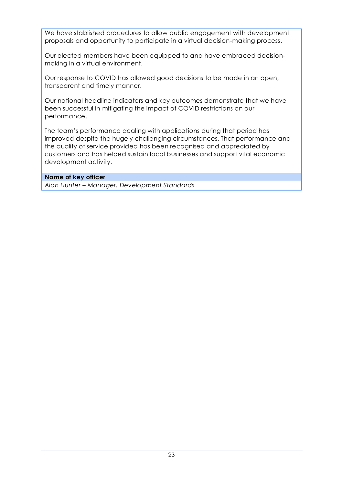We have stablished procedures to allow public engagement with development proposals and opportunity to participate in a virtual decision-making process.

Our elected members have been equipped to and have embraced decisionmaking in a virtual environment.

Our response to COVID has allowed good decisions to be made in an open, transparent and timely manner.

Our national headline indicators and key outcomes demonstrate that we have been successful in mitigating the impact of COVID restrictions on our performance.

The team's performance dealing with applications during that period has improved despite the hugely challenging circumstances. That performance and the quality of service provided has been recognised and appreciated by customers and has helped sustain local businesses and support vital economic development activity.

#### **Name of key officer**

*Alan Hunter – Manager, Development Standards*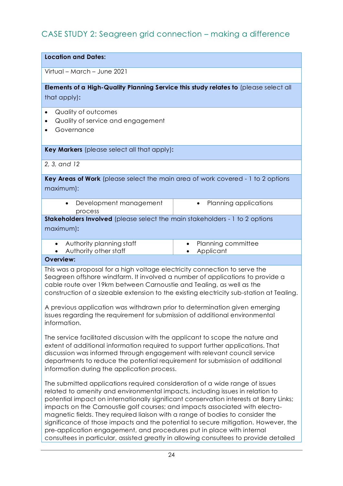### <span id="page-25-0"></span>CASE STUDY 2: Seagreen grid connection – making a difference

| <b>Location and Dates:</b>                                                                                                                                                                                                                                                                                                      |                                                                            |  |
|---------------------------------------------------------------------------------------------------------------------------------------------------------------------------------------------------------------------------------------------------------------------------------------------------------------------------------|----------------------------------------------------------------------------|--|
| Virtual – March – June 2021                                                                                                                                                                                                                                                                                                     |                                                                            |  |
| Elements of a High-Quality Planning Service this study relates to (please select all<br>that apply):                                                                                                                                                                                                                            |                                                                            |  |
| Quality of outcomes<br>Quality of service and engagement<br>Governance                                                                                                                                                                                                                                                          |                                                                            |  |
| Key Markers (please select all that apply):                                                                                                                                                                                                                                                                                     |                                                                            |  |
| 2, 3, and 12                                                                                                                                                                                                                                                                                                                    |                                                                            |  |
| Key Areas of Work (please select the main area of work covered - 1 to 2 options<br>maximum):                                                                                                                                                                                                                                    |                                                                            |  |
| Development management<br>$\bullet$<br>process                                                                                                                                                                                                                                                                                  | Planning applications<br>$\bullet$                                         |  |
| Stakeholders Involved (please select the main stakeholders - 1 to 2 options<br>maximum):                                                                                                                                                                                                                                        |                                                                            |  |
| Authority planning staff<br>$\bullet$<br>Authority other staff                                                                                                                                                                                                                                                                  | Planning committee<br>$\bullet$<br>Applicant                               |  |
| <b>Overview:</b>                                                                                                                                                                                                                                                                                                                |                                                                            |  |
| This was a proposal for a high voltage electricity connection to serve the<br>Seagreen offshore windfarm. It involved a number of applications to provide a<br>cable route over 19km between Carnoustie and Tealing, as well as the<br>construction of a sizeable extension to the existing electricity sub-station at Tealing. | A provisue application was withdrawn prior to determination given amergina |  |

A previous application was withdrawn prior to determination given emerging issues regarding the requirement for submission of additional environmental information.

The service facilitated discussion with the applicant to scope the nature and extent of additional information required to support further applications. That discussion was informed through engagement with relevant council service departments to reduce the potential requirement for submission of additional information during the application process.

The submitted applications required consideration of a wide range of issues related to amenity and environmental impacts, including issues in relation to potential impact on internationally significant conservation interests at Barry Links; impacts on the Carnoustie golf courses; and impacts associated with electromagnetic fields. They required liaison with a range of bodies to consider the significance of those impacts and the potential to secure mitigation. However, the pre-application engagement, and procedures put in place with internal consultees in particular, assisted greatly in allowing consultees to provide detailed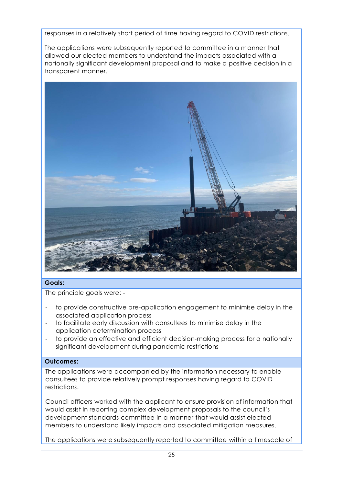responses in a relatively short period of time having regard to COVID restrictions.

The applications were subsequently reported to committee in a manner that allowed our elected members to understand the impacts associated with a nationally significant development proposal and to make a positive decision in a transparent manner.



#### **Goals:**

The principle goals were: -

- to provide constructive pre-application engagement to minimise delay in the associated application process
- to facilitate early discussion with consultees to minimise delay in the application determination process
- to provide an effective and efficient decision-making process for a nationally significant development during pandemic restrictions

#### **Outcomes:**

The applications were accompanied by the information necessary to enable consultees to provide relatively prompt responses having regard to COVID restrictions.

Council officers worked with the applicant to ensure provision of information that would assist in reporting complex development proposals to the council's development standards committee in a manner that would assist elected members to understand likely impacts and associated mitigation measures.

The applications were subsequently reported to committee within a timescale of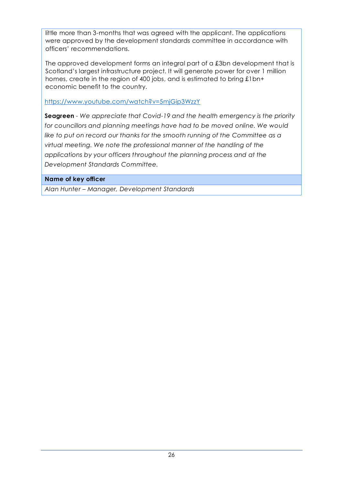little more than 3-months that was agreed with the applicant. The applications were approved by the development standards committee in accordance with officers' recommendations.

The approved development forms an integral part of a £3bn development that is Scotland's largest infrastructure project. It will generate power for over 1 million homes, create in the region of 400 jobs, and is estimated to bring £1bn+ economic benefit to the country.

<https://www.youtube.com/watch?v=5mjGip3WzzY>

**Seagreen** *- We appreciate that Covid-19 and the health emergency is the priority for councillors and planning meetings have had to be moved online. We would like to put on record our thanks for the smooth running of the Committee as a virtual meeting. We note the professional manner of the handling of the applications by your officers throughout the planning process and at the Development Standards Committee.*

#### **Name of key officer**

*Alan Hunter – Manager, Development Standards*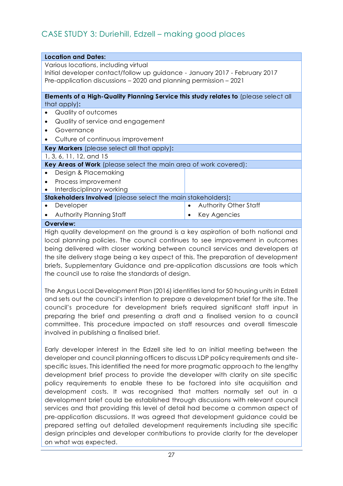### <span id="page-28-0"></span>CASE STUDY 3: Duriehill, Edzell – making good places

| <b>Location and Dates:</b>                                                                  |                       |  |
|---------------------------------------------------------------------------------------------|-----------------------|--|
| Various locations, including virtual                                                        |                       |  |
| Initial developer contact/follow up guidance - January 2017 - February 2017                 |                       |  |
| Pre-application discussions – 2020 and planning permission – 2021                           |                       |  |
| <b>Elements of a High-Quality Planning Service this study relates to</b> (please select all |                       |  |
| that apply):                                                                                |                       |  |
| Quality of outcomes                                                                         |                       |  |
| Quality of service and engagement                                                           |                       |  |
| Governance                                                                                  |                       |  |
| Culture of continuous improvement                                                           |                       |  |
|                                                                                             |                       |  |
| Key Markers (please select all that apply):                                                 |                       |  |
| 1, 3, 6, 11, 12, and 15                                                                     |                       |  |
| Key Areas of Work (please select the main area of work covered):                            |                       |  |
| Design & Placemaking                                                                        |                       |  |
| Process improvement<br>$\bullet$                                                            |                       |  |
| Interdisciplinary working                                                                   |                       |  |
| <b>Stakeholders Involved</b> (please select the main stakeholders):                         |                       |  |
| Developer<br>$\bullet$                                                                      | Authority Other Staff |  |
| Authority Planning Staff<br>$\bullet$<br>$\bullet$                                          | Key Agencies          |  |
| <b>Overview:</b>                                                                            |                       |  |

High quality development on the ground is a key aspiration of both national and local planning policies. The council continues to see improvement in outcomes being delivered with closer working between council services and developers at the site delivery stage being a key aspect of this. The preparation of development briefs, Supplementary Guidance and pre-application discussions are tools which the council use to raise the standards of design.

The Angus Local Development Plan (2016) identifies land for 50 housing units in Edzell and sets out the council's intention to prepare a development brief for the site. The council's procedure for development briefs required significant staff input in preparing the brief and presenting a draft and a finalised version to a council committee. This procedure impacted on staff resources and overall timescale involved in publishing a finalised brief.

Early developer interest in the Edzell site led to an initial meeting between the developer and council planning officers to discuss LDP policy requirements and sitespecific issues. This identified the need for more pragmatic approach to the lengthy development brief process to provide the developer with clarity on site specific policy requirements to enable these to be factored into site acquisition and development costs. It was recognised that matters normally set out in a development brief could be established through discussions with relevant council services and that providing this level of detail had become a common aspect of pre-application discussions. It was agreed that development guidance could be prepared setting out detailed development requirements including site specific design principles and developer contributions to provide clarity for the developer on what was expected.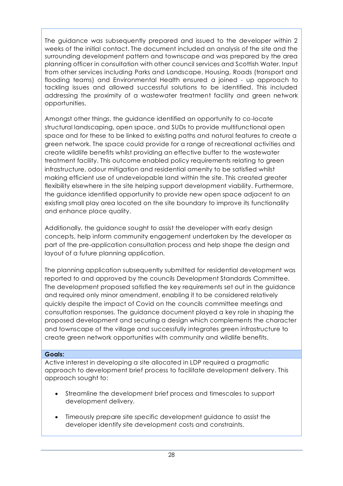The guidance was subsequently prepared and issued to the developer within 2 weeks of the initial contact. The document included an analysis of the site and the surrounding development pattern and townscape and was prepared by the area planning officer in consultation with other council services and Scottish Water. Input from other services including Parks and Landscape, Housing, Roads (transport and flooding teams) and Environmental Health ensured a joined - up approach to tackling issues and allowed successful solutions to be identified. This included addressing the proximity of a wastewater treatment facility and green network opportunities.

Amongst other things, the guidance identified an opportunity to co-locate structural landscaping, open space, and SUDs to provide multifunctional open space and for these to be linked to existing paths and natural features to create a green network. The space could provide for a range of recreational activities and create wildlife benefits whilst providing an effective buffer to the wastewater treatment facility. This outcome enabled policy requirements relating to green infrastructure, odour mitigation and residential amenity to be satisfied whilst making efficient use of undevelopable land within the site. This created greater flexibility elsewhere in the site helping support development viability. Furthermore, the guidance identified opportunity to provide new open space adjacent to an existing small play area located on the site boundary to improve its functionality and enhance place quality.

Additionally, the guidance sought to assist the developer with early design concepts, help inform community engagement undertaken by the developer as part of the pre-application consultation process and help shape the design and layout of a future planning application.

The planning application subsequently submitted for residential development was reported to and approved by the councils Development Standards Committee. The development proposed satisfied the key requirements set out in the guidance and required only minor amendment, enabling it to be considered relatively quickly despite the impact of Covid on the councils committee meetings and consultation responses. The guidance document played a key role in shaping the proposed development and securing a design which complements the character and townscape of the village and successfully integrates green infrastructure to create green network opportunities with community and wildlife benefits.

#### **Goals:**

Active interest in developing a site allocated in LDP required a pragmatic approach to development brief process to facilitate development delivery. This approach sought to:

- Streamline the development brief process and timescales to support development delivery.
- Timeously prepare site specific development guidance to assist the developer identify site development costs and constraints.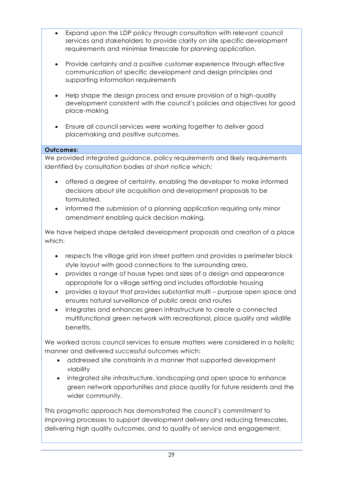- Expand upon the LDP policy through consultation with relevant council services and stakeholders to provide clarity on site specific development requirements and minimise timescale for planning application.
- Provide certainty and a positive customer experience through effective communication of specific development and design principles and supporting information requirements
- Help shape the design process and ensure provision of a high-quality development consistent with the council's policies and objectives for good place-making
- Ensure all council services were working together to deliver good placemaking and positive outcomes.

#### **Outcomes:**

We provided integrated guidance, policy requirements and likely requirements identified by consultation bodies at short notice which:

- offered a degree of certainty, enabling the developer to make informed decisions about site acquisition and development proposals to be formulated.
- informed the submission of a planning application requiring only minor amendment enabling quick decision making.

We have helped shape detailed development proposals and creation of a place which:

- respects the village grid iron street pattern and provides a perimeter block style layout with good connections to the surrounding area,
- provides a range of house types and sizes of a design and appearance appropriate for a village setting and includes affordable housing
- provides a layout that provides substantial multi purpose open space and ensures natural surveillance of public areas and routes
- integrates and enhances green infrastructure to create a connected multifunctional green network with recreational, place quality and wildlife benefits.

We worked across council services to ensure matters were considered in a holistic manner and delivered successful outcomes which:

- addressed site constraints in a manner that supported development viability
- integrated site infrastructure, landscaping and open space to enhance green network opportunities and place quality for future residents and the wider community.

This pragmatic approach has demonstrated the council's commitment to improving processes to support development delivery and reducing timescales, delivering high quality outcomes, and to quality of service and engagement.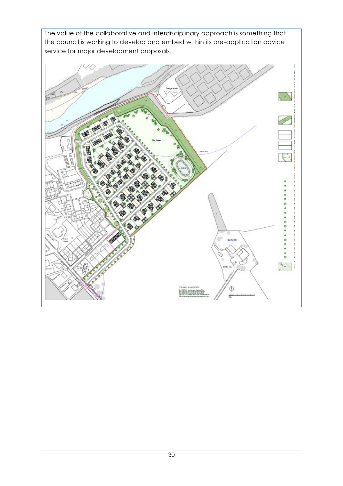The value of the collaborative and interdisciplinary approach is something that the council is working to develop and embed within its pre-application advice service for major development proposals.

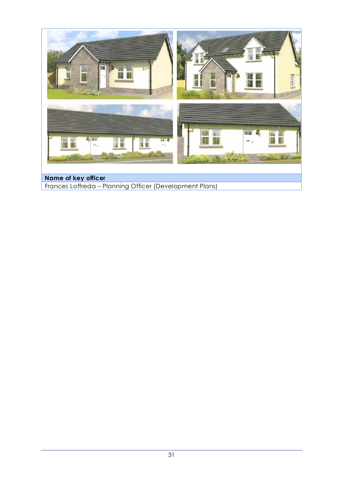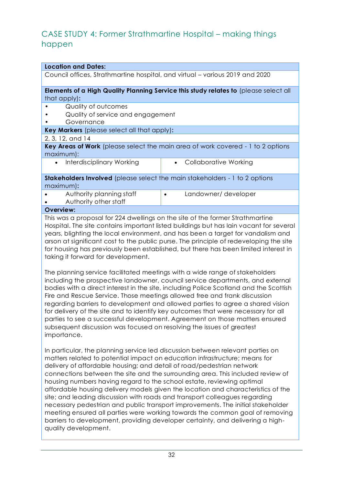### <span id="page-33-0"></span>CASE STUDY 4: Former Strathmartine Hospital – making things happen

| <b>Location and Dates:</b>                                                                          |                                                                                      |  |  |
|-----------------------------------------------------------------------------------------------------|--------------------------------------------------------------------------------------|--|--|
| Council offices, Strathmartine hospital, and virtual – various 2019 and 2020                        |                                                                                      |  |  |
|                                                                                                     | Elements of a High Quality Planning Service this study relates to (please select all |  |  |
| that apply):                                                                                        |                                                                                      |  |  |
| Quality of outcomes                                                                                 |                                                                                      |  |  |
| Quality of service and engagement                                                                   |                                                                                      |  |  |
| Governance                                                                                          |                                                                                      |  |  |
| Key Markers (please select all that apply):                                                         |                                                                                      |  |  |
| 2, 3, 12, and 14                                                                                    |                                                                                      |  |  |
| <b>Key Areas of Work</b> (please select the main area of work covered - 1 to 2 options<br>maximum): |                                                                                      |  |  |
| Interdisciplinary Working<br>$\bullet$                                                              | <b>Collaborative Working</b><br>$\bullet$                                            |  |  |
| <b>Stakeholders Involved</b> (please select the main stakeholders - 1 to 2 options                  |                                                                                      |  |  |
| maximum):                                                                                           |                                                                                      |  |  |
| Authority planning staff                                                                            | Landowner/ developer<br>$\bullet$                                                    |  |  |
| Authority other staff                                                                               |                                                                                      |  |  |
| <b>Overview:</b>                                                                                    |                                                                                      |  |  |
| This was a proposal for 224 dwellings on the site of the former Strathmartine                       |                                                                                      |  |  |
| Herpital, The site contains important listed buildings but has lain vacant for soveral              |                                                                                      |  |  |

Hospital. The site contains important listed buildings but has lain vacant for several years, blighting the local environment, and has been a target for vandalism and arson at significant cost to the public purse. The principle of redeveloping the site for housing has previously been established, but there has been limited interest in taking it forward for development.

The planning service facilitated meetings with a wide range of stakeholders including the prospective landowner, council service departments, and external bodies with a direct interest in the site, including Police Scotland and the Scottish Fire and Rescue Service. Those meetings allowed free and frank discussion regarding barriers to development and allowed parties to agree a shared vision for delivery of the site and to identify key outcomes that were necessary for all parties to see a successful development. Agreement on those matters ensured subsequent discussion was focused on resolving the issues of greatest importance.

In particular, the planning service led discussion between relevant parties on matters related to potential impact on education infrastructure; means for delivery of affordable housing; and detail of road/pedestrian network connections between the site and the surrounding area. This included review of housing numbers having regard to the school estate, reviewing optimal affordable housing delivery models given the location and characteristics of the site; and leading discussion with roads and transport colleagues regarding necessary pedestrian and public transport improvements. The initial stakeholder meeting ensured all parties were working towards the common goal of removing barriers to development, providing developer certainty, and delivering a highquality development.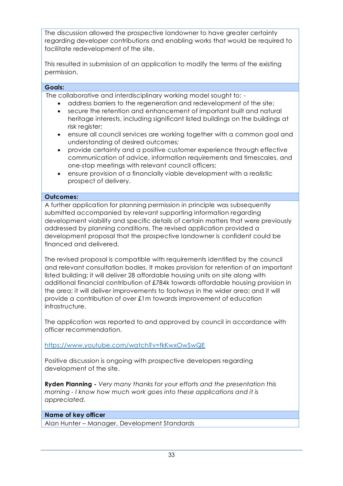The discussion allowed the prospective landowner to have greater certainty regarding developer contributions and enabling works that would be required to facilitate redevelopment of the site.

This resulted in submission of an application to modify the terms of the existing permission.

#### **Goals:**

The collaborative and interdisciplinary working model sought to: -

- address barriers to the regeneration and redevelopment of the site;
- secure the retention and enhancement of important built and natural heritage interests, including significant listed buildings on the buildings at risk register;
- ensure all council services are working together with a common goal and understanding of desired outcomes;
- provide certainty and a positive customer experience through effective communication of advice, information requirements and timescales, and one-stop meetings with relevant council officers;
- ensure provision of a financially viable development with a realistic prospect of delivery.

#### **Outcomes:**

A further application for planning permission in principle was subsequently submitted accompanied by relevant supporting information regarding development viability and specific details of certain matters that were previously addressed by planning conditions. The revised application provided a development proposal that the prospective landowner is confident could be financed and delivered.

The revised proposal is compatible with requirements identified by the council and relevant consultation bodies. It makes provision for retention of an important listed building; it will deliver 28 affordable housing units on site along with additional financial contribution of £784k towards affordable housing provision in the area; it will deliver improvements to footways in the wider area; and it will provide a contribution of over £1m towards improvement of education infrastructure.

The application was reported to and approved by council in accordance with officer recommendation.

<https://www.youtube.com/watch?v=fkKwxOwSwQE>

Positive discussion is ongoing with prospective developers regarding development of the site.

**Ryden Planning -** *Very many thanks for your efforts and the presentation this morning - I know how much work goes into these applications and it is appreciated.*

#### **Name of key officer**

Alan Hunter – Manager, Development Standards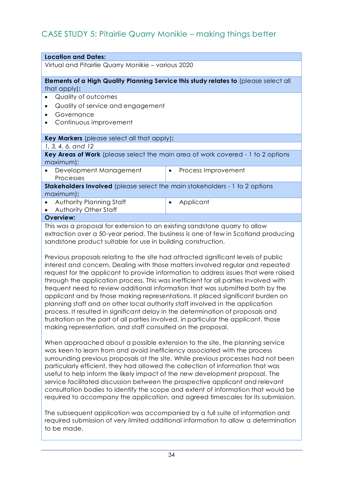### <span id="page-35-0"></span>CASE STUDY 5: Pitairlie Quarry Monikie – making things better

| <b>Location and Dates:</b>                                                         |                                                                                      |  |
|------------------------------------------------------------------------------------|--------------------------------------------------------------------------------------|--|
| Virtual and Pitairlie Quarry Monikie - various 2020                                |                                                                                      |  |
|                                                                                    |                                                                                      |  |
|                                                                                    | Elements of a High Quality Planning Service this study relates to (please select all |  |
| that apply):                                                                       |                                                                                      |  |
| Quality of outcomes                                                                |                                                                                      |  |
| Quality of service and engagement                                                  |                                                                                      |  |
| Governance                                                                         |                                                                                      |  |
| Continuous improvement                                                             |                                                                                      |  |
| Key Markers (please select all that apply):                                        |                                                                                      |  |
| 1, 3, 4, 6, and 12                                                                 |                                                                                      |  |
|                                                                                    |                                                                                      |  |
| maximum):                                                                          | Key Areas of Work (please select the main area of work covered - 1 to 2 options      |  |
| Development Management                                                             | Process Improvement<br>$\bullet$                                                     |  |
| Processes                                                                          |                                                                                      |  |
| <b>Stakeholders Involved</b> (please select the main stakeholders - 1 to 2 options |                                                                                      |  |
| maximum):                                                                          |                                                                                      |  |
| Authority Planning Staff<br>$\bullet$                                              | Applicant<br>٠                                                                       |  |
| Authority Other Staff                                                              |                                                                                      |  |
| <b>Overview:</b>                                                                   |                                                                                      |  |
| This was a proposal for extension to an existing sandstone quarry to allow         |                                                                                      |  |

This was a proposal for extension to an existing sandstone quarry to allow extraction over a 50-year period. The business is one of few in Scotland producing sandstone product suitable for use in building construction.

Previous proposals relating to the site had attracted significant levels of public interest and concern. Dealing with those matters involved regular and repeated request for the applicant to provide information to address issues that were raised through the application process. This was inefficient for all parties involved with frequent need to review additional information that was submitted both by the applicant and by those making representations. It placed significant burden on planning staff and on other local authority staff involved in the application process. It resulted in significant delay in the determination of proposals and frustration on the part of all parties involved, in particular the applicant, those making representation, and staff consulted on the proposal.

When approached about a possible extension to the site, the planning service was keen to learn from and avoid inefficiency associated with the process surrounding previous proposals at the site. While previous processes had not been particularly efficient, they had allowed the collection of information that was useful to help inform the likely impact of the new development proposal. The service facilitated discussion between the prospective applicant and relevant consultation bodies to identify the scope and extent of information that would be required to accompany the application. and agreed timescales for its submission.

The subsequent application was accompanied by a full suite of information and required submission of very limited additional information to allow a determination to be made.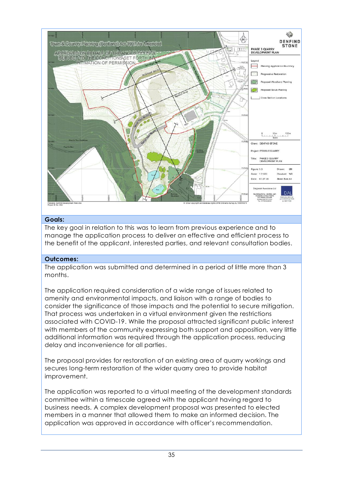

#### **Goals:**

The key goal in relation to this was to learn from previous experience and to manage the application process to deliver an effective and efficient process to the benefit of the applicant, interested parties, and relevant consultation bodies.

#### **Outcomes:**

The application was submitted and determined in a period of little more than 3 months.

The application required consideration of a wide range of issues related to amenity and environmental impacts, and liaison with a range of bodies to consider the significance of those impacts and the potential to secure mitigation. That process was undertaken in a virtual environment given the restrictions associated with COVID-19. While the proposal attracted significant public interest with members of the community expressing both support and opposition, very little additional information was required through the application process, reducing delay and inconvenience for all parties.

The proposal provides for restoration of an existing area of quarry workings and secures long-term restoration of the wider quarry area to provide habitat improvement.

The application was reported to a virtual meeting of the development standards committee within a timescale agreed with the applicant having regard to business needs. A complex development proposal was presented to elected members in a manner that allowed them to make an informed decision. The application was approved in accordance with officer's recommendation.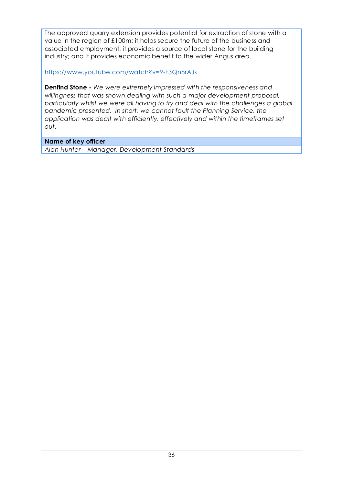The approved quarry extension provides potential for extraction of stone with a value in the region of £100m; it helps secure the future of the business and associated employment; it provides a source of local stone for the building industry; and it provides economic benefit to the wider Angus area.

<https://www.youtube.com/watch?v=9-F3Qn8rAJs>

**Denfind Stone -** *We were extremely impressed with the responsiveness and willingness that was shown dealing with such a major development proposal, particularly whilst we were all having to try and deal with the challenges a global pandemic presented. In short, we cannot fault the Planning Service, the application was dealt with efficiently, effectively and within the timeframes set out.*

#### **Name of key officer**

*Alan Hunter – Manager, Development Standards*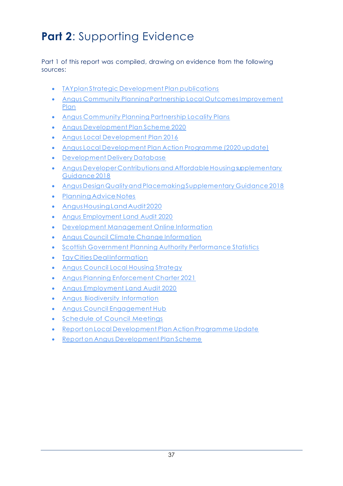# <span id="page-38-0"></span>**Part 2: Supporting Evidence**

Part 1 of this report was compiled, drawing on evidence from the following sources:

- TAYplan Strategic [Development](https://www.tayplan-sdpa.gov.uk/strategic_development_plan) Plan publications
- Angus Community Planning Partnership Local [OutcomesImprovement](https://www.angus.gov.uk/community_empowerment/planning_for_the_future/planning_for_the_future_of_angus/community_plan_2017) [Plan](https://www.angus.gov.uk/community_empowerment/planning_for_the_future/planning_for_the_future_of_angus/community_plan_2017)
- Angus [Community](https://www.angus.gov.uk/community_empowerment/planning_for_the_future/planning_for_the_future_of_angus/locality_plans) Planning Partnership Locality Plans
- Angus [Development](https://www.angus.gov.uk/media/development_plan_scheme_and_participation_statement_september_2020_pdf) Plan Scheme 2020
- Angus Local [Development](https://www.angus.gov.uk/media/angus_local_development_plan_adopted_september_2016) Plan 2016
- Angus Local [Development](https://www.angus.gov.uk/media/agenda_item_no_13_report_no_33220_angus_local_development_plan_action_programme_2020_update_appendix) Plan Action Programme (2020 update)
- [Development](https://angus.locationcentre.co.uk/internet/internet.aspx?articleid=uvI8jTl4Vkw%7E&preview=true) Delivery Database
- Angus Developer Contributions and Affordable Housing supplementary [Guidance](https://www.angus.gov.uk/media/developer_contributions_and_affordable_housing_supplementary_guidance) 2018
- Angus Design Qualityand [PlacemakingSupplementary](https://www.angus.gov.uk/media/design_quality_and_placemaking_supplementary_guidance) Guidance 2018
- Planning Advice Notes
- [AngusHousingLandAudit2020](https://www.angus.gov.uk/media/angus_housing_land_audit_2020_pdf)
- [Angus Employment Land Audit 2020](https://www.angus.gov.uk/sites/default/files/2020-10/Angus%20Housing%20Land%20Audit%202020.pdf)
- Development [Management](https://www.angus.gov.uk/planning_and_building/planning_permission_and_applications) Online Information
- Angus Council Climate Change [Information](https://www.angus.gov.uk/the_environment/sustainable_angus/climate_change)
- Scottish Government Planning Authority [Performance](http://www.gov.scot/Topics/Statistics/Browse/Planning) Statistics
- TayCities Deal [Information](https://www.taycities.co.uk/)
- Angus Council Local Housing [Strategy](https://www.angus.gov.uk/media/local_housing_strategy_2017_22)
- Angus Planning [Enforcement](https://www.angus.gov.uk/sites/default/files/2021-04/Enforcement%20Charter%202021.pdf) Charter 2021
- Angus [Employment](https://www.angus.gov.uk/sites/default/files/2020-12/Angus%20Employment%20Land%20Audit%202020.pdf) Land Audit 2020
- Angus Biodiversity [Information](https://www.angus.gov.uk/the_environment/sustainable_angus/biodiversity)
- Angus Council [Engagement](https://shapingangus.co.uk/) Hub
- Schedule of Council Meetings
- Report on Local [Development](https://www.angus.gov.uk/sites/default/files/2020-12/332.pdf) Plan Action Programme Update
- Report on Angus [Development](https://www.angus.gov.uk/sites/default/files/2020-09/221.pdf) Plan Scheme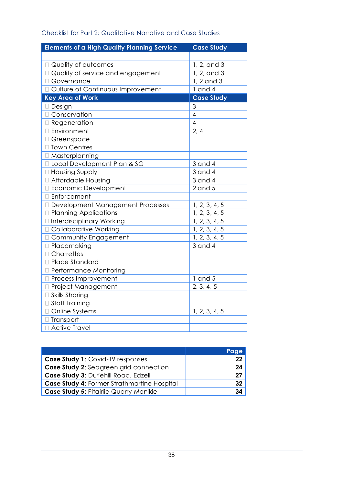| <b>Elements of a High Quality Planning Service</b> | <b>Case Study</b> |
|----------------------------------------------------|-------------------|
|                                                    |                   |
| Quality of outcomes                                | 1, 2, and 3       |
| <b>Quality of service and engagement</b>           | 1, 2, and 3       |
| □ Governance                                       | 1, 2 and 3        |
| □ Culture of Continuous Improvement                | $1$ and $4$       |
| <b>Key Area of Work</b>                            | <b>Case Study</b> |
| □ Design                                           | 3                 |
| □ Conservation                                     | 4                 |
| □ Regeneration                                     | $\overline{4}$    |
| □ Environment                                      | 2, 4              |
| □ Greenspace                                       |                   |
| □ Town Centres                                     |                   |
| □ Masterplanning                                   |                   |
| □ Local Development Plan & SG                      | $3$ and $4$       |
| □ Housing Supply                                   | $3$ and $4$       |
| □ Affordable Housing                               | $3$ and $4$       |
| □ Economic Development                             | $2$ and $5$       |
| □ Enforcement                                      |                   |
| Development Management Processes                   | 1, 2, 3, 4, 5     |
| <b>D</b> Planning Applications                     | 1, 2, 3, 4, 5     |
| □ Interdisciplinary Working                        | 1, 2, 3, 4, 5     |
| □ Collaborative Working                            | 1, 2, 3, 4, 5     |
| □ Community Engagement                             | 1, 2, 3, 4, 5     |
| □ Placemaking                                      | $3$ and $4$       |
| □ Charrettes                                       |                   |
| □ Place Standard                                   |                   |
| □ Performance Monitoring                           |                   |
| <b>D</b> Process Improvement                       | $1$ and $5$       |
| □ Project Management                               | 2, 3, 4, 5        |
| □ Skills Sharing                                   |                   |
| □ Staff Training                                   |                   |
| Online Systems                                     | 1, 2, 3, 4, 5     |
| □ Transport                                        |                   |
| □ Active Travel                                    |                   |

#### Checklist for Part 2: Qualitative Narrative and Case Studies

|                                             | Page |
|---------------------------------------------|------|
| Case Study 1: Covid-19 responses            | 22   |
| Case Study 2: Seagreen grid connection      | 24   |
| Case Study 3: Duriehill Road, Edzell        | 27   |
| Case Study 4: Former Strathmartine Hospital | 32   |
| Case Study 5: Pitairlie Quarry Monikie      | 34   |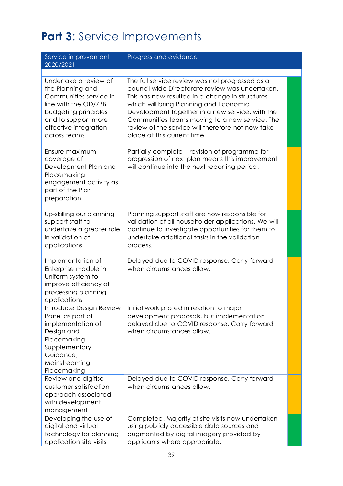# <span id="page-40-0"></span>**Part 3**: Service Improvements

| Service improvement<br>2020/2021                                                                                                                                                    | Progress and evidence                                                                                                                                                                                                                                                                                                                                                                    |  |
|-------------------------------------------------------------------------------------------------------------------------------------------------------------------------------------|------------------------------------------------------------------------------------------------------------------------------------------------------------------------------------------------------------------------------------------------------------------------------------------------------------------------------------------------------------------------------------------|--|
|                                                                                                                                                                                     |                                                                                                                                                                                                                                                                                                                                                                                          |  |
| Undertake a review of<br>the Planning and<br>Communities service in<br>line with the OD/ZBB<br>budgeting principles<br>and to support more<br>effective integration<br>across teams | The full service review was not progressed as a<br>council wide Directorate review was undertaken.<br>This has now resulted in a change in structures<br>which will bring Planning and Economic<br>Development together in a new service, with the<br>Communities teams moving to a new service. The<br>review of the service will therefore not now take<br>place at this current time. |  |
| Ensure maximum<br>coverage of<br>Development Plan and<br>Placemaking<br>engagement activity as<br>part of the Plan<br>preparation.                                                  | Partially complete – revision of programme for<br>progression of next plan means this improvement<br>will continue into the next reporting period.                                                                                                                                                                                                                                       |  |
| Up-skilling our planning<br>support staff to<br>undertake a greater role<br>in validation of<br>applications                                                                        | Planning support staff are now responsible for<br>validation of all householder applications. We will<br>continue to investigate opportunities for them to<br>undertake additional tasks in the validation<br>process.                                                                                                                                                                   |  |
| Implementation of<br>Enterprise module in<br>Uniform system to<br>improve efficiency of<br>processing planning<br>applications                                                      | Delayed due to COVID response. Carry forward<br>when circumstances allow.                                                                                                                                                                                                                                                                                                                |  |
| Introduce Design Review<br>Panel as part of<br>implementation of<br>Design and<br>Placemaking<br>Supplementary<br>Guidance,<br>Mainstreaming<br>Placemaking                         | Initial work piloted in relation to major<br>development proposals, but implementation<br>delayed due to COVID response. Carry forward<br>when circumstances allow.                                                                                                                                                                                                                      |  |
| Review and digitise<br>customer satisfaction<br>approach associated<br>with development<br>management                                                                               | Delayed due to COVID response. Carry forward<br>when circumstances allow.                                                                                                                                                                                                                                                                                                                |  |
| Developing the use of<br>digital and virtual<br>technology for planning<br>application site visits                                                                                  | Completed. Majority of site visits now undertaken<br>using publicly accessible data sources and<br>augmented by digital imagery provided by<br>applicants where appropriate.                                                                                                                                                                                                             |  |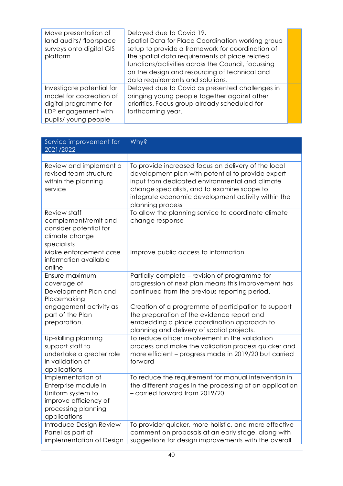| Move presentation of<br>land audits/floorspace<br>surveys onto digital GIS<br>platform                                      | Delayed due to Covid 19.<br>Spatial Data for Place Coordination working group<br>setup to provide a framework for coordination of<br>the spatial data requirements of place related<br>functions/activities across the Council, focussing<br>on the design and resourcing of technical and<br>data requirements and solutions. |  |
|-----------------------------------------------------------------------------------------------------------------------------|--------------------------------------------------------------------------------------------------------------------------------------------------------------------------------------------------------------------------------------------------------------------------------------------------------------------------------|--|
| Investigate potential for<br>model for cocreation of<br>digital programme for<br>LDP engagement with<br>pupils/young people | Delayed due to Covid as presented challenges in<br>bringing young people together against other<br>priorities. Focus group already scheduled for<br>forthcoming year.                                                                                                                                                          |  |

| Service improvement for<br>2021/2022                                                                                               | <b>Why?</b>                                                                                                                                                                                                                                                                                               |
|------------------------------------------------------------------------------------------------------------------------------------|-----------------------------------------------------------------------------------------------------------------------------------------------------------------------------------------------------------------------------------------------------------------------------------------------------------|
|                                                                                                                                    |                                                                                                                                                                                                                                                                                                           |
| Review and implement a<br>revised team structure<br>within the planning<br>service                                                 | To provide increased focus on delivery of the local<br>development plan with potential to provide expert<br>input from dedicated environmental and climate<br>change specialists, and to examine scope to<br>integrate economic development activity within the<br>planning process                       |
| Review staff<br>complement/remit and<br>consider potential for<br>climate change<br>specialists                                    | To allow the planning service to coordinate climate<br>change response                                                                                                                                                                                                                                    |
| Make enforcement case<br>information available<br>online                                                                           | Improve public access to information                                                                                                                                                                                                                                                                      |
| Ensure maximum<br>coverage of<br>Development Plan and<br>Placemaking<br>engagement activity as<br>part of the Plan<br>preparation. | Partially complete - revision of programme for<br>progression of next plan means this improvement has<br>continued from the previous reporting period.<br>Creation of a programme of participation to support<br>the preparation of the evidence report and<br>embedding a place coordination approach to |
| Up-skilling planning<br>support staff to<br>undertake a greater role<br>in validation of<br>applications                           | planning and delivery of spatial projects.<br>To reduce officer involvement in the validation<br>process and make the validation process quicker and<br>more efficient - progress made in 2019/20 but carried<br>forward                                                                                  |
| Implementation of<br>Enterprise module in<br>Uniform system to<br>improve efficiency of<br>processing planning<br>applications     | To reduce the requirement for manual intervention in<br>the different stages in the processing of an application<br>- carried forward from 2019/20                                                                                                                                                        |
| Introduce Design Review<br>Panel as part of<br>implementation of Design                                                            | To provider quicker, more holistic, and more effective<br>comment on proposals at an early stage, along with<br>suggestions for design improvements with the overall                                                                                                                                      |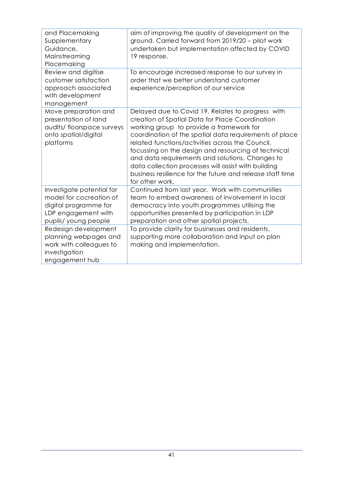| and Placemaking<br>Supplementary<br>Guidance,<br>Mainstreaming<br>Placemaking                                               | aim of improving the quality of development on the<br>ground. Carried forward from 2019/20 - pilot work<br>undertaken but implementation affected by COVID<br>19 response.                                                                                                                                                                                                                                                                                                                                      |
|-----------------------------------------------------------------------------------------------------------------------------|-----------------------------------------------------------------------------------------------------------------------------------------------------------------------------------------------------------------------------------------------------------------------------------------------------------------------------------------------------------------------------------------------------------------------------------------------------------------------------------------------------------------|
| Review and digitise<br>customer satisfaction<br>approach associated<br>with development<br>management                       | To encourage increased response to our survey in<br>order that we better understand customer<br>experience/perception of our service                                                                                                                                                                                                                                                                                                                                                                            |
| Move preparation and<br>presentation of land<br>audits/floorspace surveys<br>onto spatial/digital<br>platforms              | Delayed due to Covid 19. Relates to progress with<br>creation of Spatial Data for Place Coordination<br>working group to provide a framework for<br>coordination of the spatial data requirements of place<br>related functions/activities across the Council,<br>focussing on the design and resourcing of technical<br>and data requirements and solutions. Changes to<br>data collection processes will assist with building<br>business resilience for the future and release staff time<br>for other work. |
| Investigate potential for<br>model for cocreation of<br>digital programme for<br>LDP engagement with<br>pupils/young people | Continued from last year. Work with communities<br>team to embed awareness of involvement in local<br>democracy into youth programmes utilising the<br>opportunities presented by participation in LDP<br>preparation and other spatial projects.                                                                                                                                                                                                                                                               |
| Redesign development<br>planning webpages and<br>work with colleagues to<br>investigation<br>engagement hub                 | To provide clarity for businesses and residents,<br>supporting more collaboration and input on plan<br>making and implementation.                                                                                                                                                                                                                                                                                                                                                                               |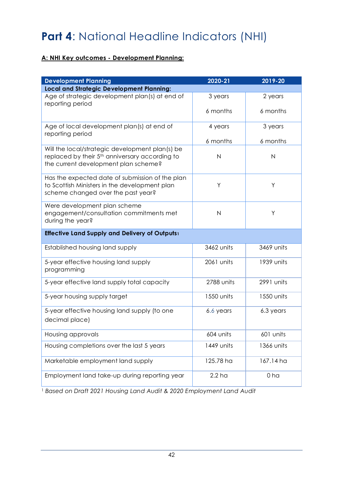# <span id="page-43-0"></span>**Part 4**: National Headline Indicators (NHI)

#### **A: NHI Key outcomes - Development Planning:**

| <b>Development Planning</b>                                                                                                                           | 2020-21           | 2019-20        |  |
|-------------------------------------------------------------------------------------------------------------------------------------------------------|-------------------|----------------|--|
| <b>Local and Strategic Development Planning:</b>                                                                                                      |                   |                |  |
| Age of strategic development plan(s) at end of<br>reporting period                                                                                    | 3 years           | 2 years        |  |
|                                                                                                                                                       | 6 months          | 6 months       |  |
| Age of local development plan(s) at end of<br>reporting period                                                                                        | 4 years           | 3 years        |  |
|                                                                                                                                                       | 6 months          | 6 months       |  |
| Will the local/strategic development plan(s) be<br>replaced by their 5 <sup>th</sup> anniversary according to<br>the current development plan scheme? | $\mathsf{N}$      | $\mathsf{N}$   |  |
| Has the expected date of submission of the plan<br>to Scottish Ministers in the development plan<br>scheme changed over the past year?                | Υ                 | Y              |  |
| Were development plan scheme<br>engagement/consultation commitments met<br>$\overline{N}$<br>during the year?                                         |                   | Y              |  |
| Effective Land Supply and Delivery of Outputs1                                                                                                        |                   |                |  |
| Established housing land supply                                                                                                                       | 3462 units        | 3469 units     |  |
| 5-year effective housing land supply<br>programming                                                                                                   | 2061 units        | 1939 units     |  |
| 5-year effective land supply total capacity                                                                                                           | 2788 units        | 2991 units     |  |
| 5-year housing supply target                                                                                                                          | 1550 units        | 1550 units     |  |
| 5-year effective housing land supply (to one<br>decimal place)                                                                                        | 6.6 years         | 6.3 years      |  |
| Housing approvals                                                                                                                                     | 604 units         | 601 units      |  |
| Housing completions over the last 5 years                                                                                                             | 1449 units        | 1366 units     |  |
| Marketable employment land supply                                                                                                                     | 125.78 ha         | 167.14 ha      |  |
| Employment land take-up during reporting year                                                                                                         | 2.2 <sub>ha</sub> | 0 <sub>h</sub> |  |

<sup>1</sup> *Based on Draft 2021 Housing Land Audit & 2020 Employment Land Audit*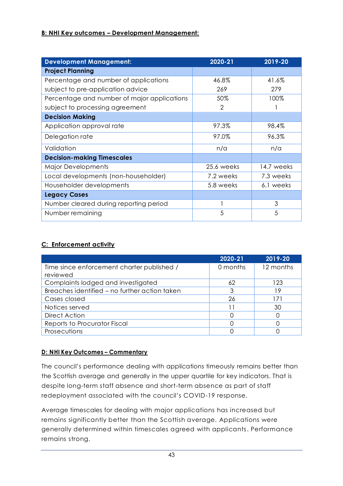#### **B: NHI Key outcomes – Development Management:**

| <b>Development Management:</b>              | 2020-21    | 2019-20    |
|---------------------------------------------|------------|------------|
| <b>Project Planning</b>                     |            |            |
| Percentage and number of applications       | 46.8%      | 41.6%      |
| subject to pre-application advice           | 269        | 279        |
| Percentage and number of major applications | 50%        | 100%       |
| subject to processing agreement             | 2          |            |
| <b>Decision Making</b>                      |            |            |
| Application approval rate                   | 97.3%      | 98.4%      |
| Delegation rate                             | 97.0%      | 96.3%      |
| Validation                                  | n/a        | n/a        |
| <b>Decision-making Timescales</b>           |            |            |
| <b>Major Developments</b>                   | 25.6 weeks | 14.7 weeks |
| Local developments (non-householder)        | 7.2 weeks  | 7.3 weeks  |
| Householder developments                    | 5.8 weeks  | 6.1 weeks  |
| <b>Legacy Cases</b>                         |            |            |
| Number cleared during reporting period      |            | 3          |
| Number remaining                            | 5          | 5          |

#### **C: Enforcement activity**

|                                                        | 2020-21  | 2019-20   |
|--------------------------------------------------------|----------|-----------|
| Time since enforcement charter published /<br>reviewed | 0 months | 12 months |
| Complaints lodged and investigated                     | 62       | 123       |
| Breaches identified - no further action taken          | 3        | 19        |
| Cases closed                                           | 26       | 171       |
| Notices served                                         | 11       | 30        |
| Direct Action                                          |          |           |
| Reports to Procurator Fiscal                           |          |           |
| Prosecutions                                           |          |           |

#### **D: NHI Key Outcomes – Commentary**

The council's performance dealing with applications timeously remains better than the Scottish average and generally in the upper quartile for key indicators. That is despite long-term staff absence and short-term absence as part of staff redeployment associated with the council's COVID-19 response.

Average timescales for dealing with major applications has increased but remains significantly better than the Scottish average. Applications were generally determined within timescales agreed with applicants. Performance remains strong.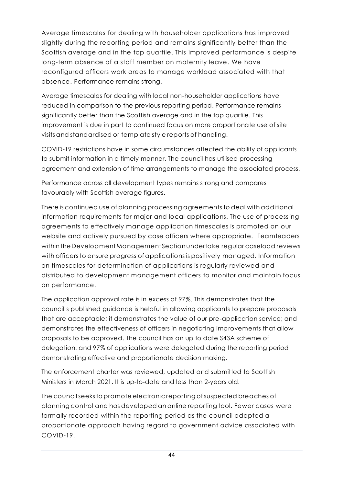Average timescales for dealing with householder applications has improved slightly during the reporting period and remains significantly better than the Scottish average and in the top quartile. This improved performance is despite long-term absence of a staff member on maternity leave. We have reconfigured officers work areas to manage workload associated with that absence. Performance remains strong.

Average timescales for dealing with local non-householder applications have reduced in comparison to the previous reporting period. Performance remains significantly better than the Scottish average and in the top quartile. This improvement is due in part to continued focus on more proportionate use of site visits and standardised or template style reports of handling.

COVID-19 restrictions have in some circumstances affected the ability of applicants to submit information in a timely manner. The council has utilised processing agreement and extension of time arrangements to manage the associated process.

Performance across all development types remains strong and compares favourably with Scottish average figures.

There is continued use of planning processing agreements to deal with additional information requirements for major and local applications. The use of processing agreements to effectively manage application timescales is promoted on our website and actively pursued by case officers where appropriate. Teamleaders within the Development Management Section undertake regular caseload reviews with officers to ensure progress of applications is positively managed. Information on timescales for determination of applications is regularly reviewed and distributed to development management officers to monitor and maintain focus on performance.

The application approval rate is in excess of 97%. This demonstrates that the council's published guidance is helpful in allowing applicants to prepare proposals that are acceptable; it demonstrates the value of our pre-application service; and demonstrates the effectiveness of officers in negotiating improvements that allow proposals to be approved. The council has an up to date S43A scheme of delegation. and 97% of applications were delegated during the reporting period demonstrating effective and proportionate decision making.

The enforcement charter was reviewed, updated and submitted to Scottish Ministers in March 2021. It is up-to-date and less than 2-years old.

The council seeksto promote electronic reporting ofsuspected breaches of planning control and has developed an online reporting tool. Fewer cases were formally recorded within the reporting period as the council adopted a proportionate approach having regard to government advice associated with COVID-19.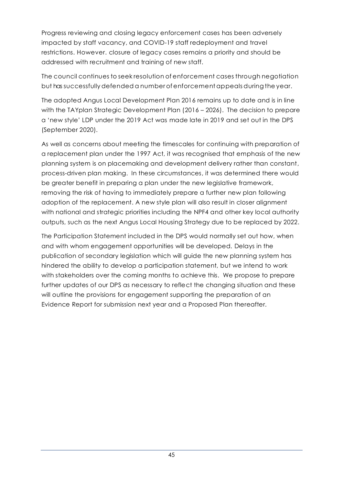Progress reviewing and closing legacy enforcement cases has been adversely impacted by staff vacancy, and COVID-19 staff redeployment and travel restrictions. However. closure of legacy cases remains a priority and should be addressed with recruitment and training of new staff.

The council continues to seek resolution of enforcement cases through negotiation but has successfully defended a number ofenforcement appeals duringthe year.

The adopted Angus Local Development Plan 2016 remains up to date and is in line with the TAYplan Strategic Development Plan (2016 – 2026). The decision to prepare a 'new style' LDP under the 2019 Act was made late in 2019 and set out in the DPS (September 2020).

As well as concerns about meeting the timescales for continuing with preparation of a replacement plan under the 1997 Act, it was recognised that emphasis of the new planning system is on placemaking and development delivery rather than constant, process-driven plan making. In these circumstances, it was determined there would be greater benefit in preparing a plan under the new legislative framework, removing the risk of having to immediately prepare a further new plan following adoption of the replacement. A new style plan will also result in closer alignment with national and strategic priorities including the NPF4 and other key local authority outputs, such as the next Angus Local Housing Strategy due to be replaced by 2022.

The Participation Statement included in the DPS would normally set out how, when and with whom engagement opportunities will be developed. Delays in the publication of secondary legislation which will guide the new planning system has hindered the ability to develop a participation statement, but we intend to work with stakeholders over the coming months to achieve this. We propose to prepare further updates of our DPS as necessary to reflect the changing situation and these will outline the provisions for engagement supporting the preparation of an Evidence Report for submission next year and a Proposed Plan thereafter.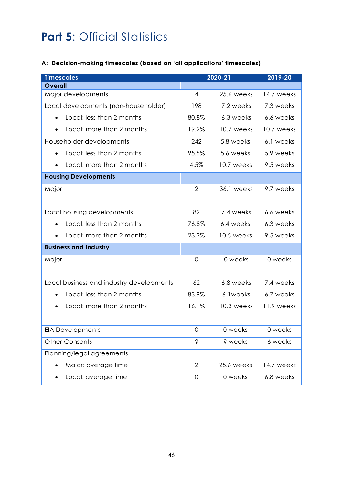# <span id="page-47-0"></span>**Part 5: Official Statistics**

#### **A: Decision-making timescales (based on 'all applications' timescales)**

| <b>Timescales</b>                        | 2020-21        | 2019-20    |            |
|------------------------------------------|----------------|------------|------------|
| <b>Overall</b>                           |                |            |            |
| Major developments                       | $\overline{4}$ | 25.6 weeks | 14.7 weeks |
| Local developments (non-householder)     | 198            | 7.2 weeks  | 7.3 weeks  |
| Local: less than 2 months                | 80.8%          | 6.3 weeks  | 6.6 weeks  |
| Local: more than 2 months                | 19.2%          | 10.7 weeks | 10.7 weeks |
| Householder developments                 | 242            | 5.8 weeks  | 6.1 weeks  |
| Local: less than 2 months                | 95.5%          | 5.6 weeks  | 5.9 weeks  |
| Local: more than 2 months                | 4.5%           | 10.7 weeks | 9.5 weeks  |
| <b>Housing Developments</b>              |                |            |            |
| Major                                    | $\overline{2}$ | 36.1 weeks | 9.7 weeks  |
| Local housing developments               | 82             | 7.4 weeks  | 6.6 weeks  |
| Local: less than 2 months                | 76.8%          | 6.4 weeks  | 6.3 weeks  |
| Local: more than 2 months                | 23.2%          | 10.5 weeks | 9.5 weeks  |
| <b>Business and Industry</b>             |                |            |            |
| Major                                    | $\overline{0}$ | 0 weeks    | 0 weeks    |
| Local business and industry developments | 62             | 6.8 weeks  | 7.4 weeks  |
| Local: less than 2 months                | 83.9%          | 6.1 weeks  | 6.7 weeks  |
| Local: more than 2 months                | 16.1%          | 10.3 weeks | 11.9 weeks |
| <b>EIA Developments</b>                  | $\mathbf 0$    | 0 weeks    | 0 weeks    |
| <b>Other Consents</b>                    | Ś              | ? weeks    | 6 weeks    |
| Planning/legal agreements                |                |            |            |
| Major: average time                      | $\overline{2}$ | 25.6 weeks | 14.7 weeks |
| Local: average time                      | 0              | 0 weeks    | 6.8 weeks  |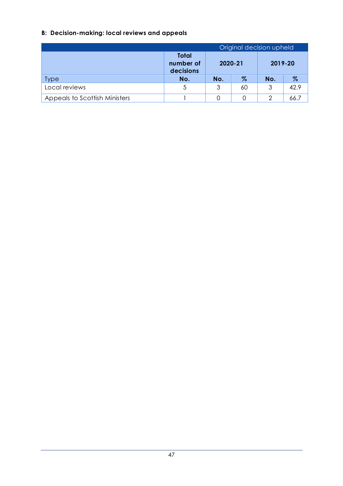### **B: Decision-making: local reviews and appeals**

| Original decision upheld      |                                        |         |      |     |         |  |
|-------------------------------|----------------------------------------|---------|------|-----|---------|--|
|                               | <b>Total</b><br>number of<br>decisions | 2020-21 |      |     | 2019-20 |  |
| <b>Type</b>                   | No.                                    | No.     | $\%$ | No. | $\%$    |  |
| Local reviews                 | 5                                      | 3       | 60   | 3   | 42.9    |  |
| Appeals to Scottish Ministers |                                        | 0       | Ω    | 2   | 66.7    |  |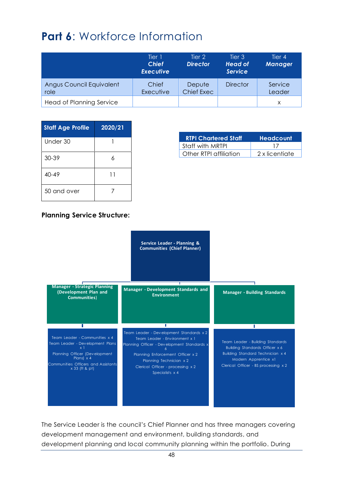## <span id="page-49-0"></span>**Part 6: Workforce Information**

|                                  | Tier 1<br><b>Chief</b><br><b>Executive</b> | Tier 2<br><b>Director</b>   | Tier 3<br><b>Head of</b><br><b>Service</b> | Tier 4<br><b>Manager</b> |
|----------------------------------|--------------------------------------------|-----------------------------|--------------------------------------------|--------------------------|
| Angus Council Equivalent<br>role | Chief<br>Executive                         | Depute<br><b>Chief Exec</b> | <b>Director</b>                            | Service<br>Leader        |
| Head of Planning Service         |                                            |                             |                                            | X                        |

| <b>Staff Age Profile</b> | 2020/21 |
|--------------------------|---------|
| Under 30                 |         |
| 30-39                    | K       |
| $40 - 49$                | 11      |
| 50 and over              |         |

| <b>RTPI Chartered Staff</b> | <b>Headcount</b> |
|-----------------------------|------------------|
| Staff with MRTPL            | $\mathbf{1}$     |
| Other RTPI affiliation      | 2 x licentiate   |

#### **Planning Service Structure:**



The Service Leader is the council's Chief Planner and has three managers covering development management and environment, building standards, and development planning and local community planning within the portfolio. During